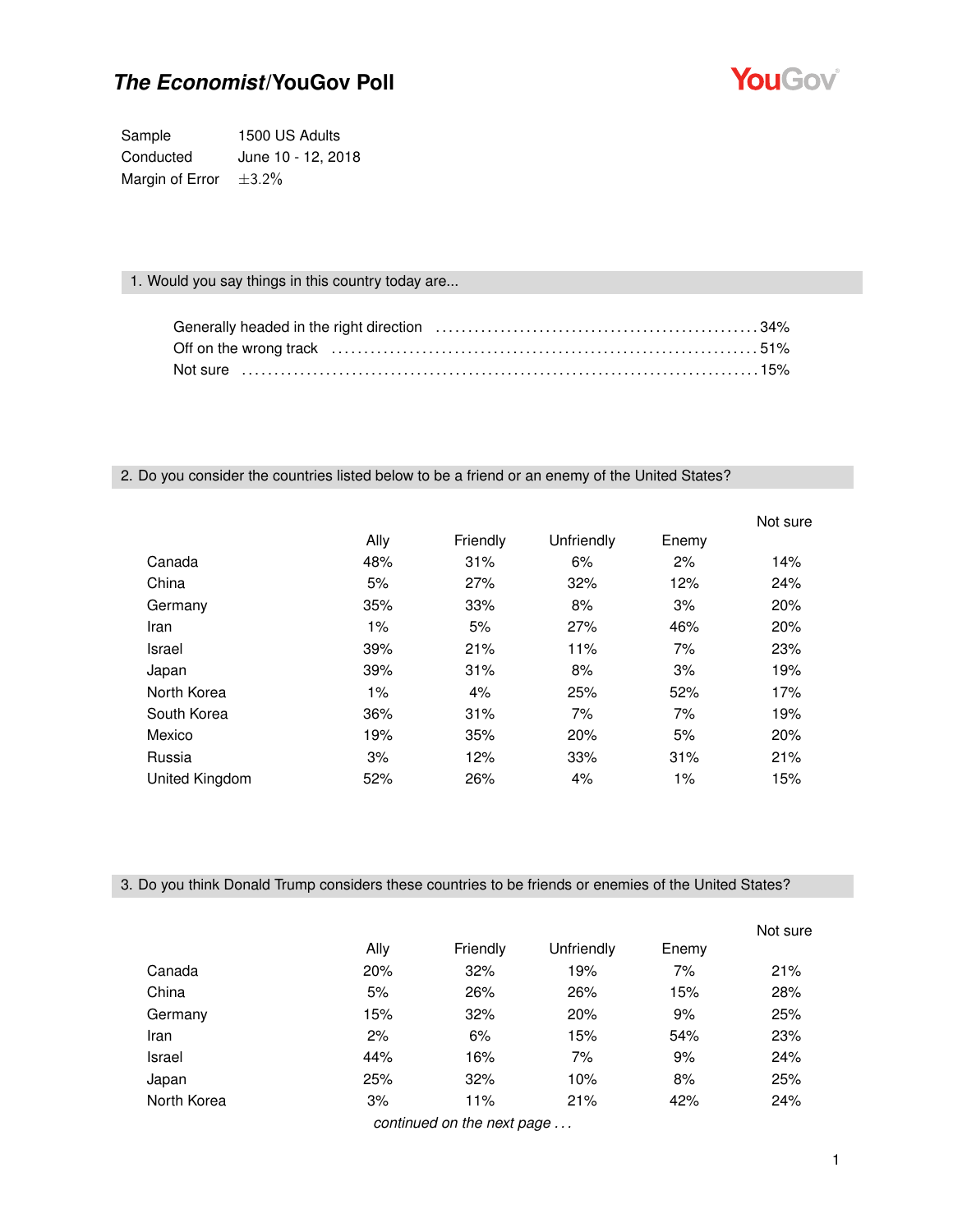

Sample 1500 US Adults Conducted June 10 - 12, 2018 Margin of Error  $\pm 3.2\%$ 

### 1. Would you say things in this country today are...

### 2. Do you consider the countries listed below to be a friend or an enemy of the United States?

|                |       |          |            |       | Not sure |
|----------------|-------|----------|------------|-------|----------|
|                | Ally  | Friendly | Unfriendly | Enemy |          |
| Canada         | 48%   | 31%      | 6%         | 2%    | 14%      |
| China          | 5%    | 27%      | 32%        | 12%   | 24%      |
| Germany        | 35%   | 33%      | 8%         | 3%    | 20%      |
| Iran           | $1\%$ | 5%       | 27%        | 46%   | 20%      |
| Israel         | 39%   | 21%      | 11%        | 7%    | 23%      |
| Japan          | 39%   | 31%      | 8%         | 3%    | 19%      |
| North Korea    | $1\%$ | 4%       | 25%        | 52%   | 17%      |
| South Korea    | 36%   | 31%      | 7%         | 7%    | 19%      |
| Mexico         | 19%   | 35%      | 20%        | 5%    | 20%      |
| Russia         | 3%    | 12%      | 33%        | 31%   | 21%      |
| United Kingdom | 52%   | 26%      | 4%         | 1%    | 15%      |

3. Do you think Donald Trump considers these countries to be friends or enemies of the United States?

|             |      |                            |            |       | Not sure |
|-------------|------|----------------------------|------------|-------|----------|
|             | Ally | Friendly                   | Unfriendly | Enemy |          |
| Canada      | 20%  | 32%                        | 19%        | 7%    | 21%      |
| China       | 5%   | 26%                        | 26%        | 15%   | 28%      |
| Germany     | 15%  | 32%                        | 20%        | 9%    | 25%      |
| Iran        | 2%   | 6%                         | 15%        | 54%   | 23%      |
| Israel      | 44%  | 16%                        | 7%         | 9%    | 24%      |
| Japan       | 25%  | 32%                        | 10%        | 8%    | 25%      |
| North Korea | 3%   | 11%                        | 21%        | 42%   | 24%      |
|             |      | continued on the nort noge |            |       |          |

*continued on the next page . . .*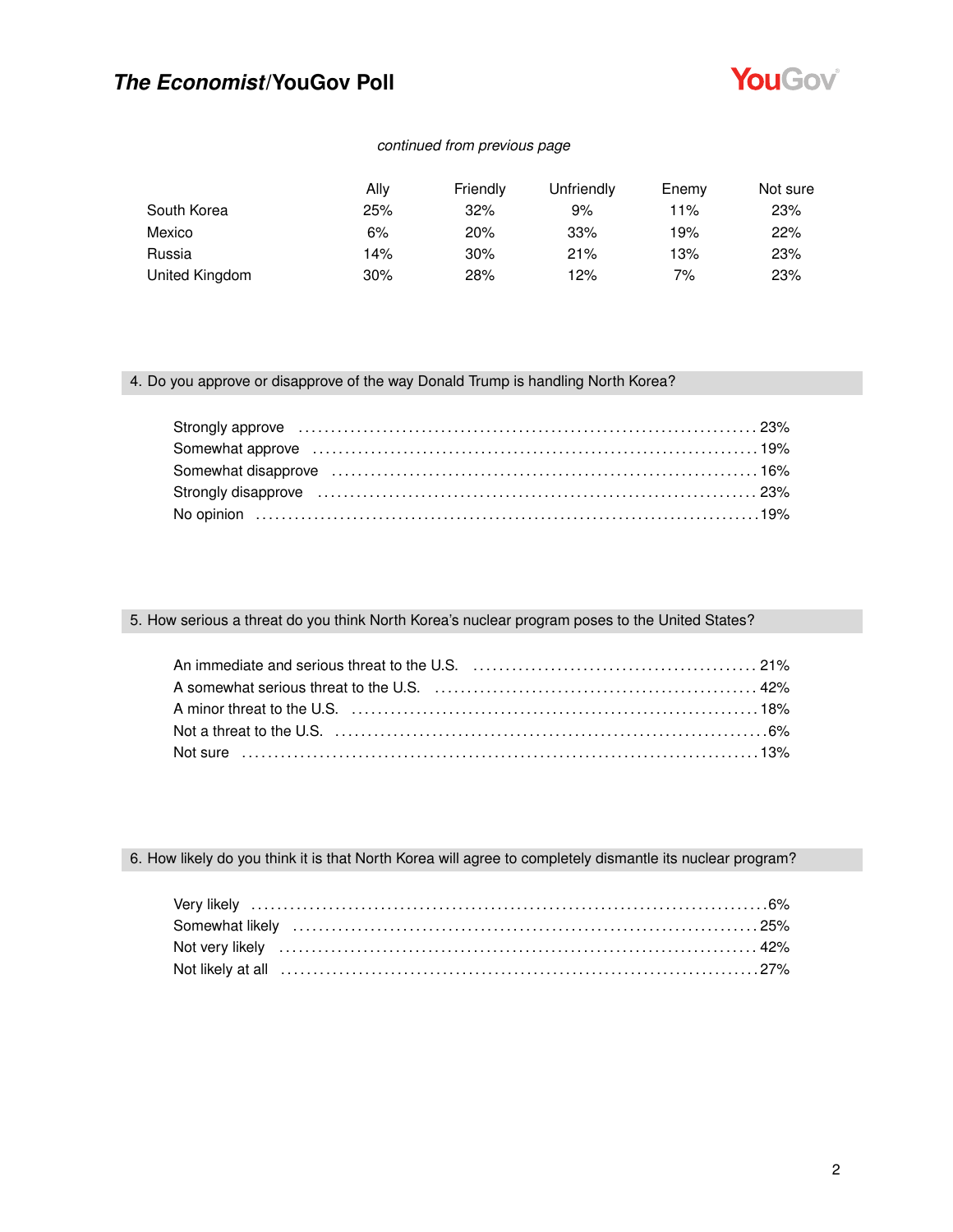

### *continued from previous page*

|                | Allv | Friendly | Unfriendly | Enemy | Not sure |
|----------------|------|----------|------------|-------|----------|
| South Korea    | 25%  | 32%      | 9%         | 11%   | 23%      |
| Mexico         | 6%   | 20%      | 33%        | 19%   | 22%      |
| Russia         | 14%  | 30%      | 21%        | 13%   | 23%      |
| United Kingdom | 30%  | 28%      | 12%        | 7%    | 23%      |

### 4. Do you approve or disapprove of the way Donald Trump is handling North Korea?

| Somewhat approve (and the continuum control of the state of the state of the state of the state of the state of the state of the state of the state of the state of the state of the state of the state of the state of the st |  |
|--------------------------------------------------------------------------------------------------------------------------------------------------------------------------------------------------------------------------------|--|
| Somewhat disapprove (and the content of the content of the content of the content of the content of the content of the content of the content of the content of the content of the content of the content of the content of th |  |
|                                                                                                                                                                                                                                |  |
| No opinion (a) 19%                                                                                                                                                                                                             |  |

### 5. How serious a threat do you think North Korea's nuclear program poses to the United States?

| An immediate and serious threat to the U.S. (a) contain and contained and an analyzing and the difference of the |  |
|------------------------------------------------------------------------------------------------------------------|--|
| A somewhat serious threat to the U.S. (a) the content content content and the 42%                                |  |
| A minor threat to the U.S. (a) match contains the control of the U.S. and the U.S. contains the U.S.             |  |
| Not a threat to the U.S. (a) contain the contract of the U.S. (6%                                                |  |
|                                                                                                                  |  |

6. How likely do you think it is that North Korea will agree to completely dismantle its nuclear program?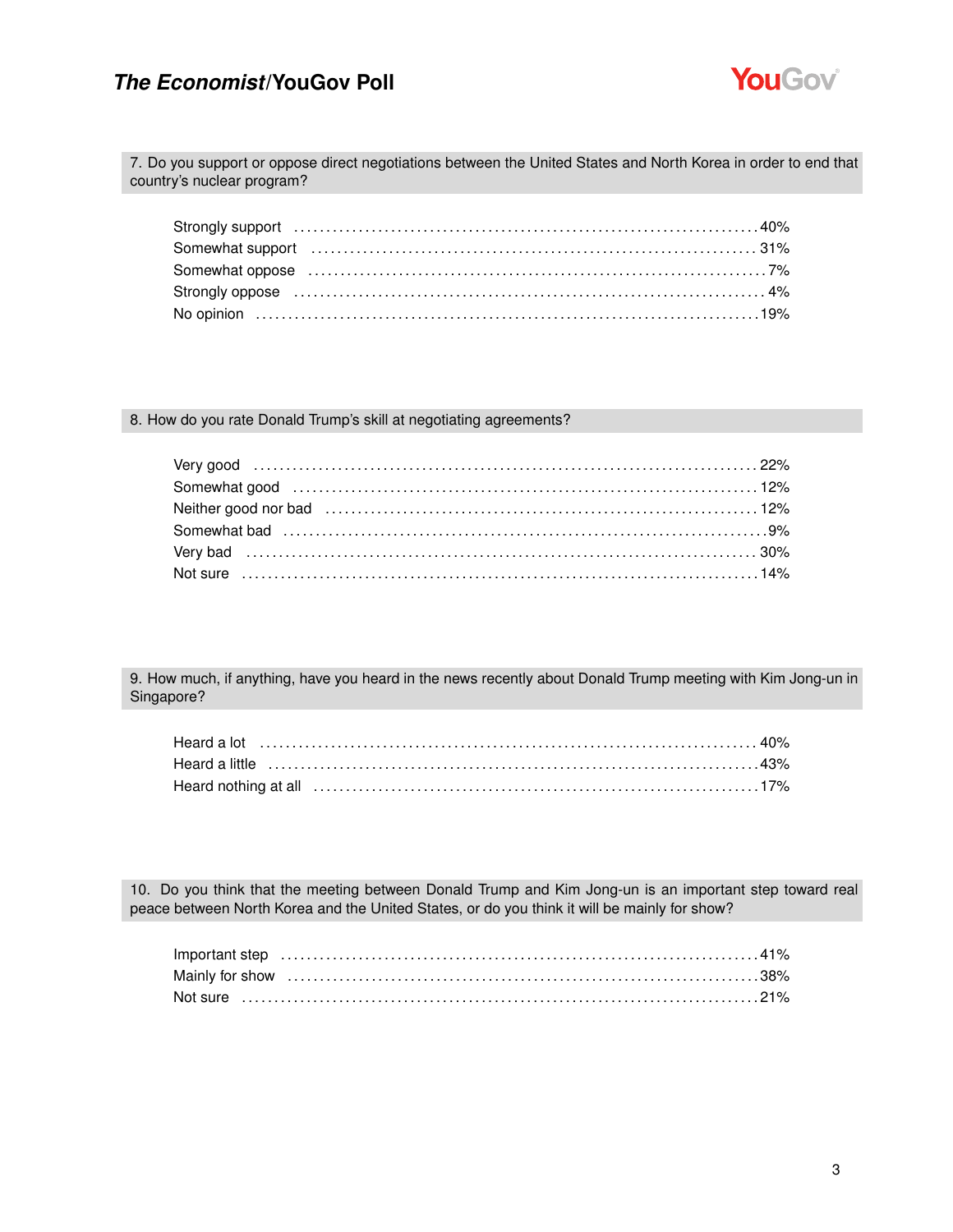

7. Do you support or oppose direct negotiations between the United States and North Korea in order to end that country's nuclear program?

| Somewhat oppose (and the continuum control of the control of the control of the control of the control of the control of the control of the control of the control of the control of the control of the control of the control |  |
|--------------------------------------------------------------------------------------------------------------------------------------------------------------------------------------------------------------------------------|--|
|                                                                                                                                                                                                                                |  |
|                                                                                                                                                                                                                                |  |

#### 8. How do you rate Donald Trump's skill at negotiating agreements?

9. How much, if anything, have you heard in the news recently about Donald Trump meeting with Kim Jong-un in Singapore?

| Heard a little ……………………………………………………………………………43% |  |
|-------------------------------------------------|--|
|                                                 |  |

10. Do you think that the meeting between Donald Trump and Kim Jong-un is an important step toward real peace between North Korea and the United States, or do you think it will be mainly for show?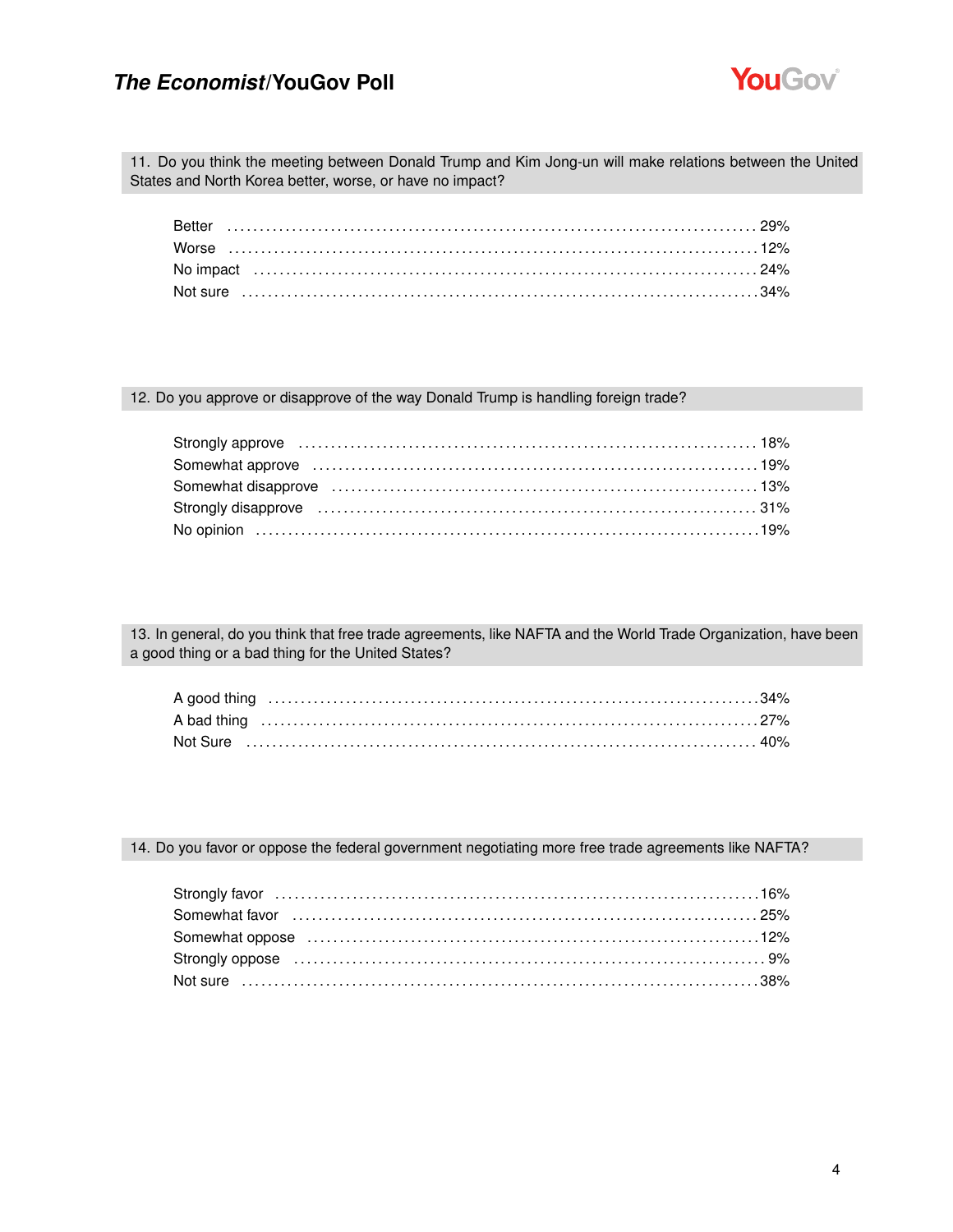

11. Do you think the meeting between Donald Trump and Kim Jong-un will make relations between the United States and North Korea better, worse, or have no impact?

12. Do you approve or disapprove of the way Donald Trump is handling foreign trade?

| Strongly approve material contracts and the strongly approve material contracts are set of the strongly approve |  |
|-----------------------------------------------------------------------------------------------------------------|--|
|                                                                                                                 |  |
| Somewhat disapprove (and according to the control of the state of the state of the state of the state of the s  |  |
| Strongly disapprove manufactured contain the strongly disapprove manufactured and strongly disapprove           |  |
|                                                                                                                 |  |

13. In general, do you think that free trade agreements, like NAFTA and the World Trade Organization, have been a good thing or a bad thing for the United States?

14. Do you favor or oppose the federal government negotiating more free trade agreements like NAFTA?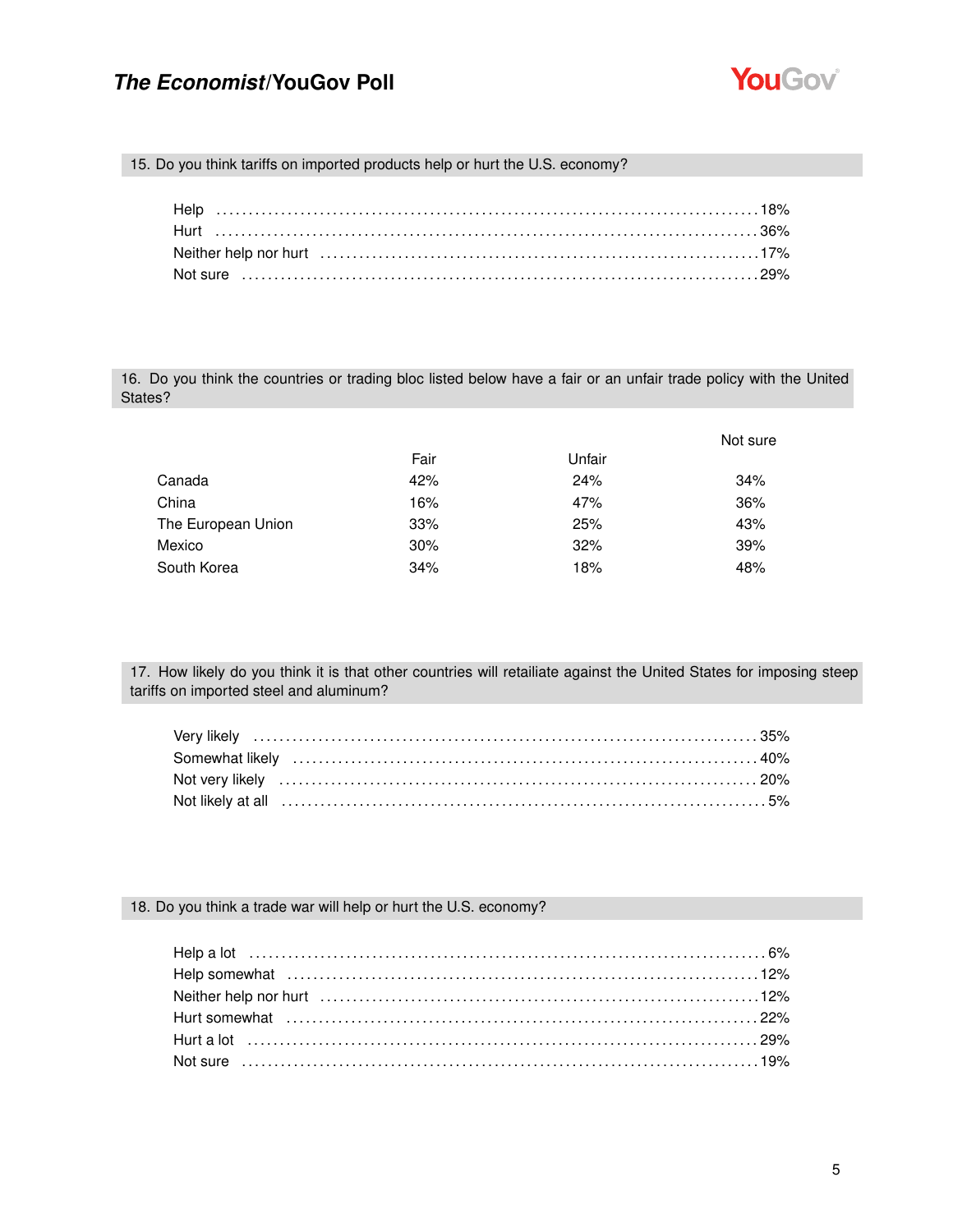

15. Do you think tariffs on imported products help or hurt the U.S. economy?

16. Do you think the countries or trading bloc listed below have a fair or an unfair trade policy with the United States?

|                    |      |        | Not sure |
|--------------------|------|--------|----------|
|                    | Fair | Unfair |          |
| Canada             | 42%  | 24%    | 34%      |
| China              | 16%  | 47%    | 36%      |
| The European Union | 33%  | 25%    | 43%      |
| Mexico             | 30%  | 32%    | 39%      |
| South Korea        | 34%  | 18%    | 48%      |

17. How likely do you think it is that other countries will retailiate against the United States for imposing steep tariffs on imported steel and aluminum?

#### 18. Do you think a trade war will help or hurt the U.S. economy?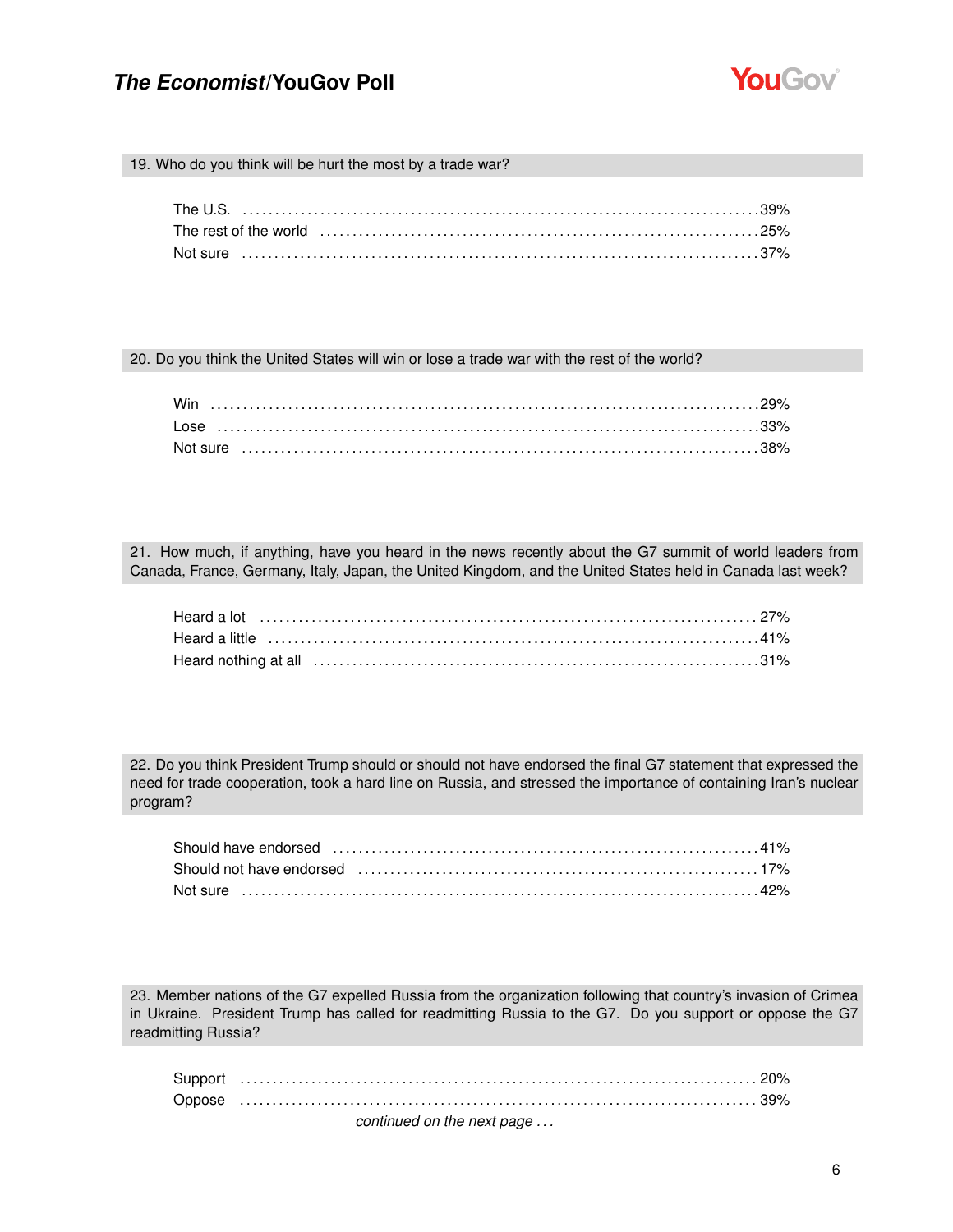

19. Who do you think will be hurt the most by a trade war?

20. Do you think the United States will win or lose a trade war with the rest of the world?

21. How much, if anything, have you heard in the news recently about the G7 summit of world leaders from Canada, France, Germany, Italy, Japan, the United Kingdom, and the United States held in Canada last week?

22. Do you think President Trump should or should not have endorsed the final G7 statement that expressed the need for trade cooperation, took a hard line on Russia, and stressed the importance of containing Iran's nuclear program?

| Should have endorsed (and according continuum control of the state of the state of the state of the state of t |  |
|----------------------------------------------------------------------------------------------------------------|--|
| Should not have endorsed (and the continuum continuum control of the state of the state of the state of the st |  |
| Not sure ………………………………………………………………………………………42%                                                                  |  |

23. Member nations of the G7 expelled Russia from the organization following that country's invasion of Crimea in Ukraine. President Trump has called for readmitting Russia to the G7. Do you support or oppose the G7 readmitting Russia?

| continued on the next page |
|----------------------------|
|                            |
|                            |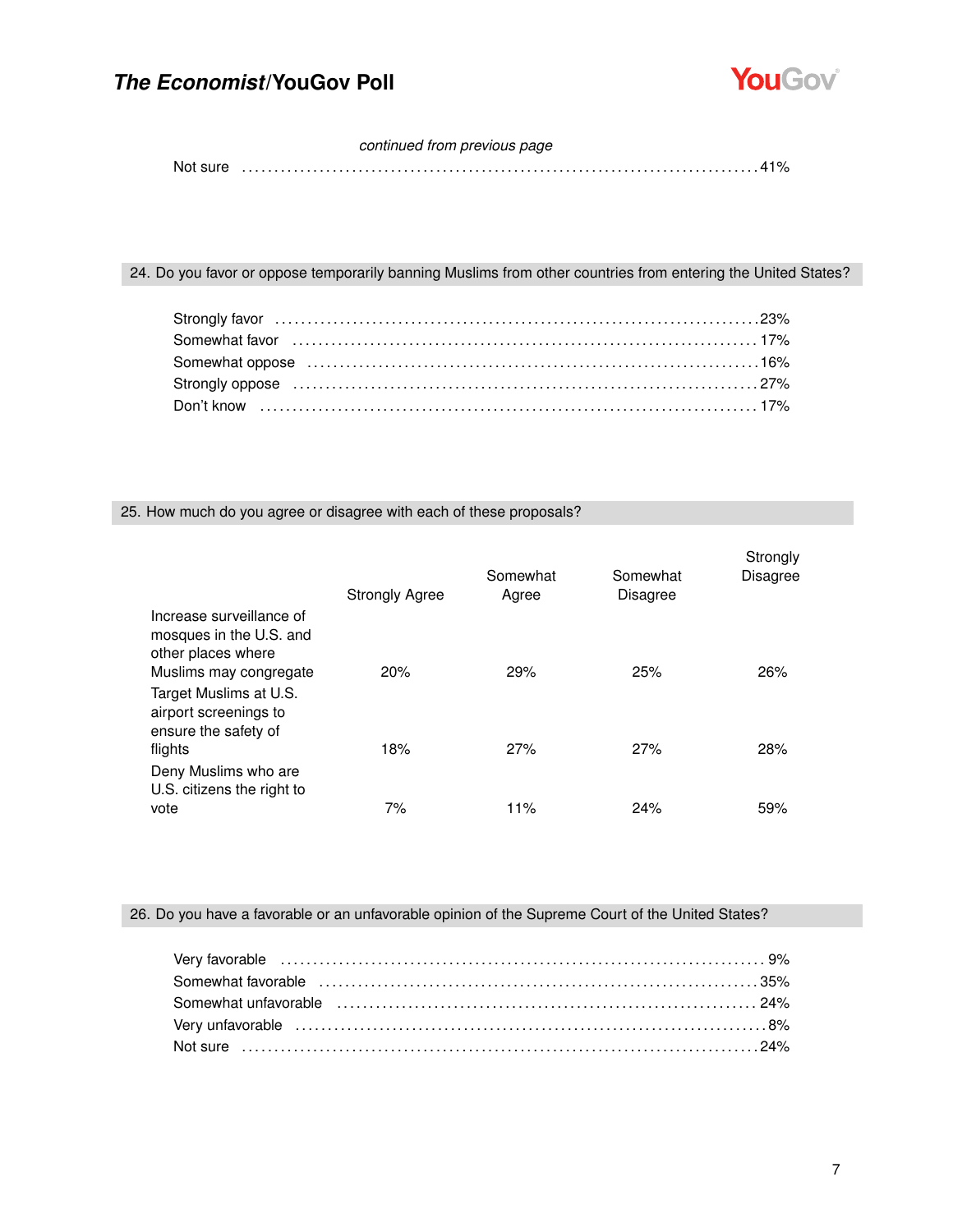

### *continued from previous page*

Not sure . . . . . . . . . . . . . . . . . . . . . . . . . . . . . . . . . . . . . . . . . . . . . . . . . . . . . . . . . . . . . . . . . . . . . . . . . . . . . . . . 41%

### 24. Do you favor or oppose temporarily banning Muslims from other countries from entering the United States?

| Somewhat oppose (and according to the control of the state of the state of the state of the state of the state of the state of the state of the state of the state of the state of the state of the state of the state of the |  |
|-------------------------------------------------------------------------------------------------------------------------------------------------------------------------------------------------------------------------------|--|
|                                                                                                                                                                                                                               |  |
|                                                                                                                                                                                                                               |  |

#### 25. How much do you agree or disagree with each of these proposals?

|                                                                                                     | <b>Strongly Agree</b> | Somewhat<br>Agree | Somewhat<br><b>Disagree</b> | Strongly<br>Disagree |
|-----------------------------------------------------------------------------------------------------|-----------------------|-------------------|-----------------------------|----------------------|
| Increase surveillance of<br>mosques in the U.S. and<br>other places where<br>Muslims may congregate | 20%                   | 29%               | 25%                         | 26%                  |
| Target Muslims at U.S.<br>airport screenings to<br>ensure the safety of<br>flights                  | 18%                   | 27%               | 27%                         | 28%                  |
| Deny Muslims who are<br>U.S. citizens the right to<br>vote                                          | 7%                    | 11%               | 24%                         | 59%                  |

### 26. Do you have a favorable or an unfavorable opinion of the Supreme Court of the United States?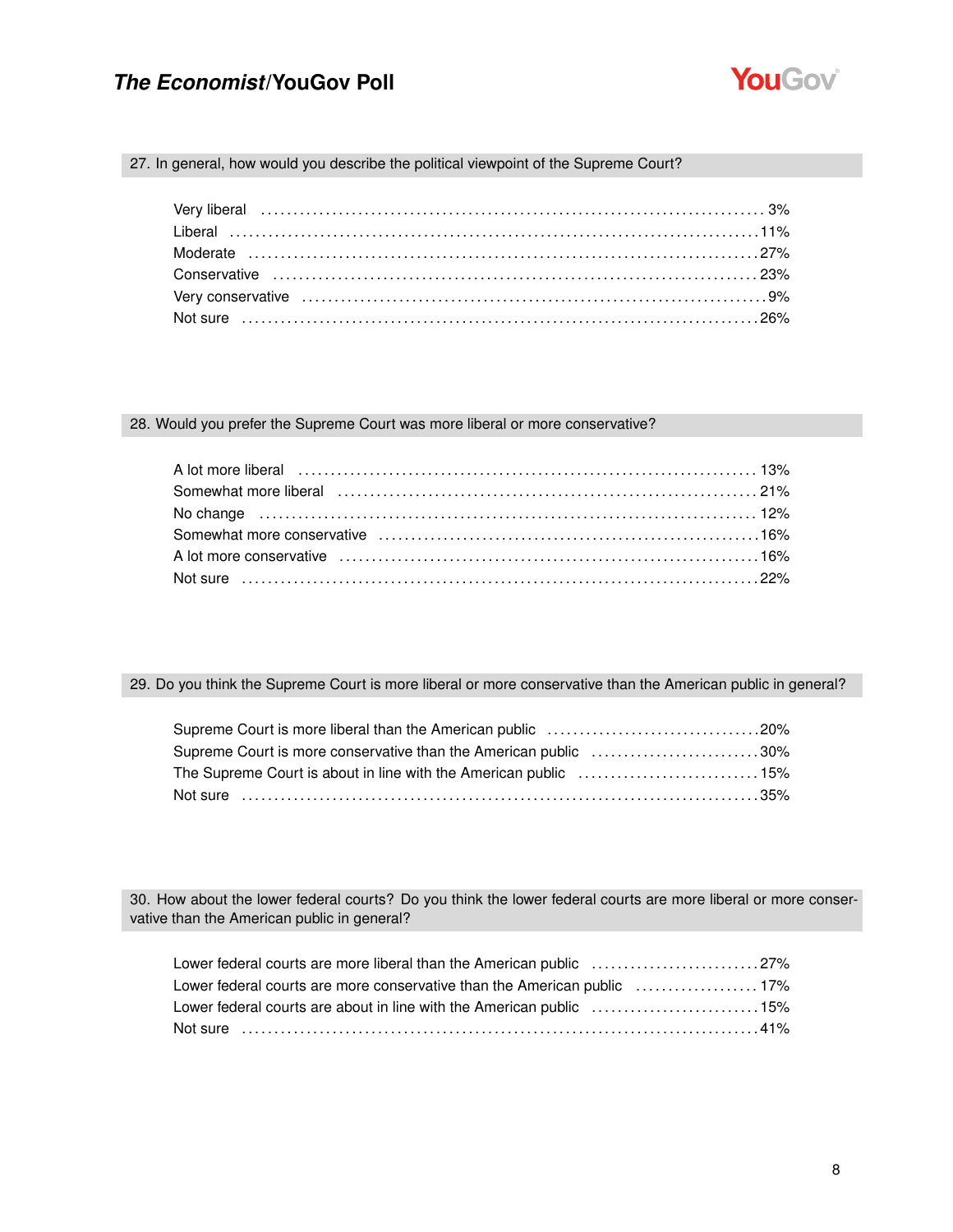

#### 27. In general, how would you describe the political viewpoint of the Supreme Court?

#### 28. Would you prefer the Supreme Court was more liberal or more conservative?

| A lot more liberal (and the continuum control of the control of the control of the control of the control of the control of the control of the control of the control of the control of the control of the control of the cont |  |
|--------------------------------------------------------------------------------------------------------------------------------------------------------------------------------------------------------------------------------|--|
|                                                                                                                                                                                                                                |  |
|                                                                                                                                                                                                                                |  |
|                                                                                                                                                                                                                                |  |
|                                                                                                                                                                                                                                |  |
|                                                                                                                                                                                                                                |  |

### 29. Do you think the Supreme Court is more liberal or more conservative than the American public in general?

| Supreme Court is more conservative than the American public 30% |  |
|-----------------------------------------------------------------|--|
| The Supreme Court is about in line with the American public 15% |  |
| Not sure ……………………………………………………………………………………35%                    |  |

30. How about the lower federal courts? Do you think the lower federal courts are more liberal or more conservative than the American public in general?

| Lower federal courts are more liberal than the American public 27%  |  |
|---------------------------------------------------------------------|--|
|                                                                     |  |
| Lower federal courts are about in line with the American public 15% |  |
|                                                                     |  |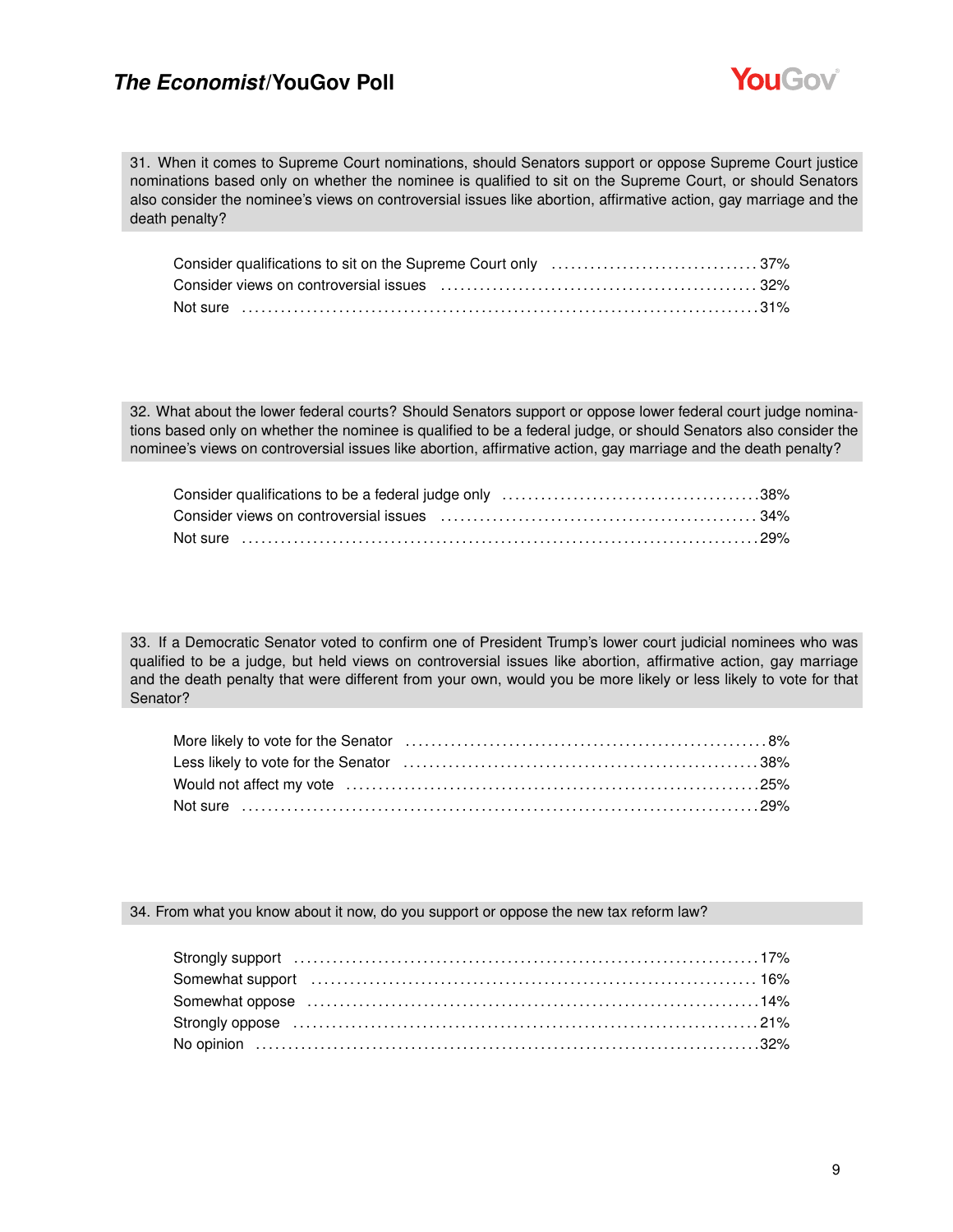

31. When it comes to Supreme Court nominations, should Senators support or oppose Supreme Court justice nominations based only on whether the nominee is qualified to sit on the Supreme Court, or should Senators also consider the nominee's views on controversial issues like abortion, affirmative action, gay marriage and the death penalty?

| Not sure ……………………………………………………………………………………31% |  |
|----------------------------------------------|--|

32. What about the lower federal courts? Should Senators support or oppose lower federal court judge nominations based only on whether the nominee is qualified to be a federal judge, or should Senators also consider the nominee's views on controversial issues like abortion, affirmative action, gay marriage and the death penalty?

| Not sure ………………………………………………………………………………………29% |  |
|-----------------------------------------------|--|

33. If a Democratic Senator voted to confirm one of President Trump's lower court judicial nominees who was qualified to be a judge, but held views on controversial issues like abortion, affirmative action, gay marriage and the death penalty that were different from your own, would you be more likely or less likely to vote for that Senator?

| Not sure ………………………………………………………………………………………29% |  |
|-----------------------------------------------|--|

#### 34. From what you know about it now, do you support or oppose the new tax reform law?

| Somewhat support (and the continuum control of the state of the state of the state of the state of the state of the state of the state of the state of the state of the state of the state of the state of the state of the st |  |
|--------------------------------------------------------------------------------------------------------------------------------------------------------------------------------------------------------------------------------|--|
|                                                                                                                                                                                                                                |  |
|                                                                                                                                                                                                                                |  |
|                                                                                                                                                                                                                                |  |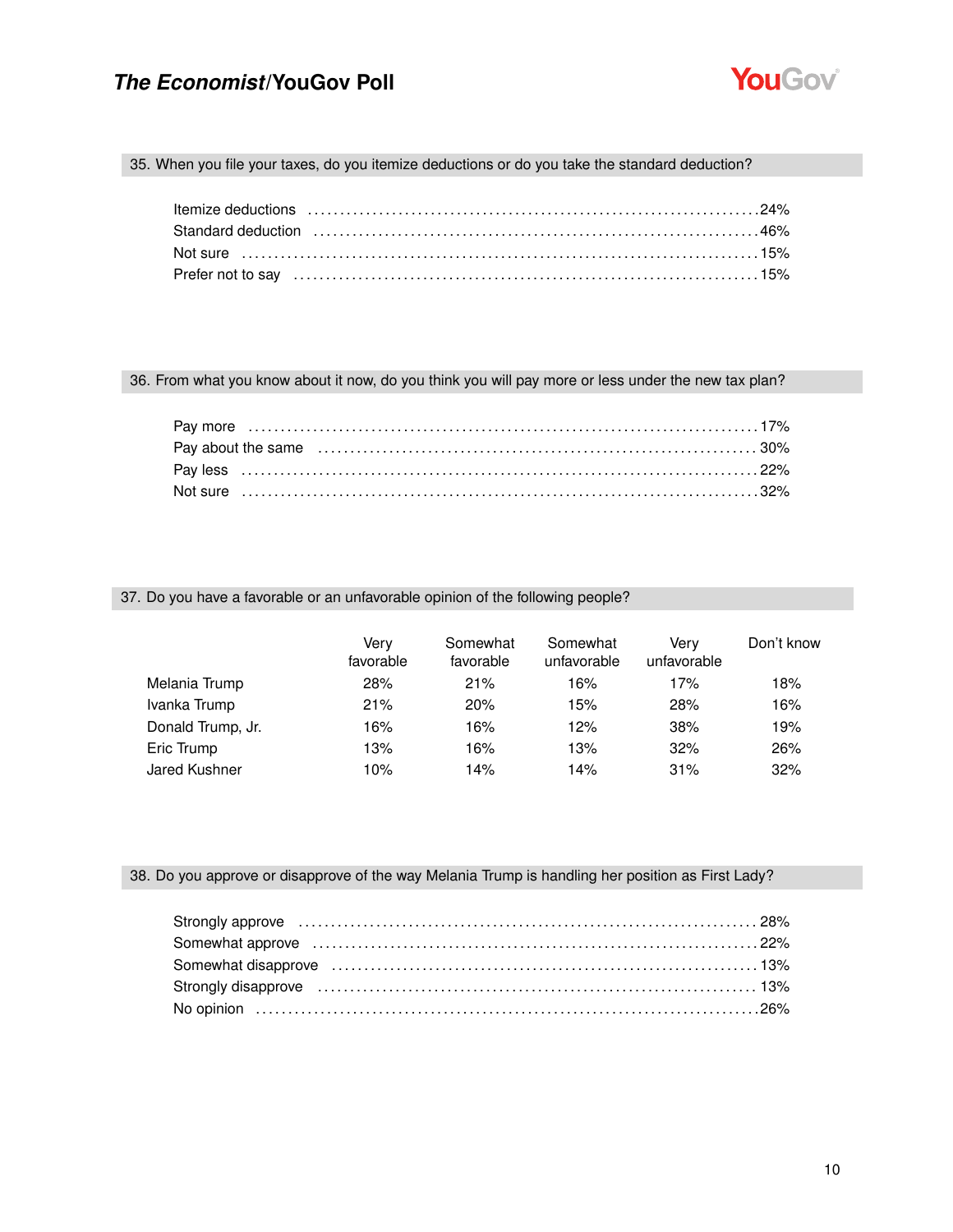

### 35. When you file your taxes, do you itemize deductions or do you take the standard deduction?

| Standard deduction (and according to the control of the standard deduction of the standard deduction (and the |  |
|---------------------------------------------------------------------------------------------------------------|--|
| Not sure …………………………………………………………………………………15%                                                                   |  |
|                                                                                                               |  |

### 36. From what you know about it now, do you think you will pay more or less under the new tax plan?

|  |  | Pay about the same (a) and the same (a) and the same contract the same of the same of the same of the same of $30\%$ |  |
|--|--|----------------------------------------------------------------------------------------------------------------------|--|
|  |  |                                                                                                                      |  |
|  |  |                                                                                                                      |  |

#### 37. Do you have a favorable or an unfavorable opinion of the following people?

|                   | Verv<br>favorable | Somewhat<br>favorable | Somewhat<br>unfavorable | Verv<br>unfavorable | Don't know |
|-------------------|-------------------|-----------------------|-------------------------|---------------------|------------|
| Melania Trump     | 28%               | 21%                   | 16%                     | 17%                 | 18%        |
| Ivanka Trump      | 21%               | 20%                   | 15%                     | 28%                 | 16%        |
| Donald Trump, Jr. | 16%               | 16%                   | 12%                     | 38%                 | 19%        |
| Eric Trump        | 13%               | 16%                   | 13%                     | 32%                 | 26%        |
| Jared Kushner     | 10%               | 14%                   | 14%                     | 31%                 | 32%        |

### 38. Do you approve or disapprove of the way Melania Trump is handling her position as First Lady?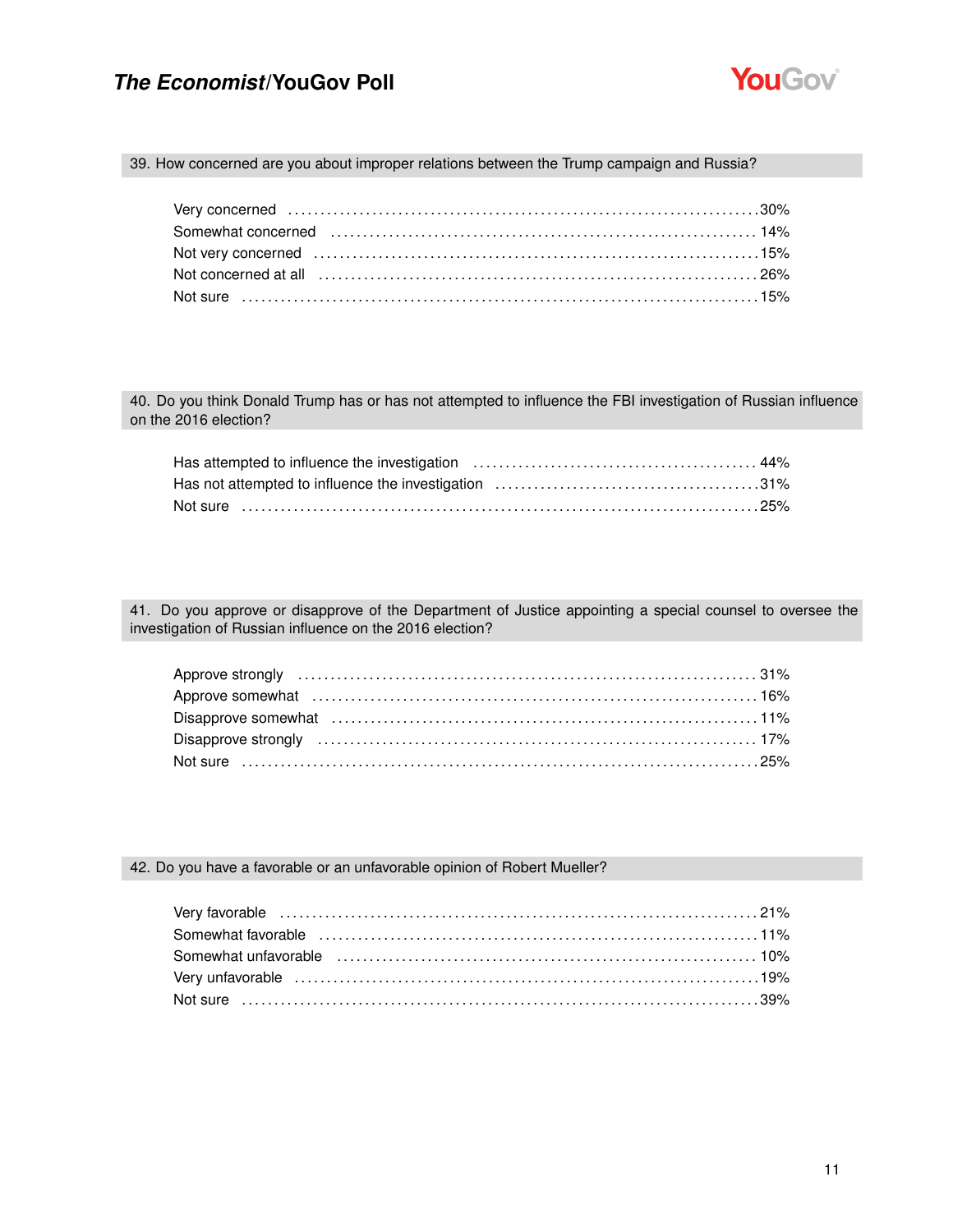

#### 39. How concerned are you about improper relations between the Trump campaign and Russia?

| Not very concerned (and the continuum control of the control of the 15% |  |
|-------------------------------------------------------------------------|--|
|                                                                         |  |
|                                                                         |  |

40. Do you think Donald Trump has or has not attempted to influence the FBI investigation of Russian influence on the 2016 election?

| Not sure ………………………………………………………………………………………25% |  |
|-----------------------------------------------|--|

41. Do you approve or disapprove of the Department of Justice appointing a special counsel to oversee the investigation of Russian influence on the 2016 election?

| Not sure …………………………………………………………………………………………25% |  |
|------------------------------------------------|--|

#### 42. Do you have a favorable or an unfavorable opinion of Robert Mueller?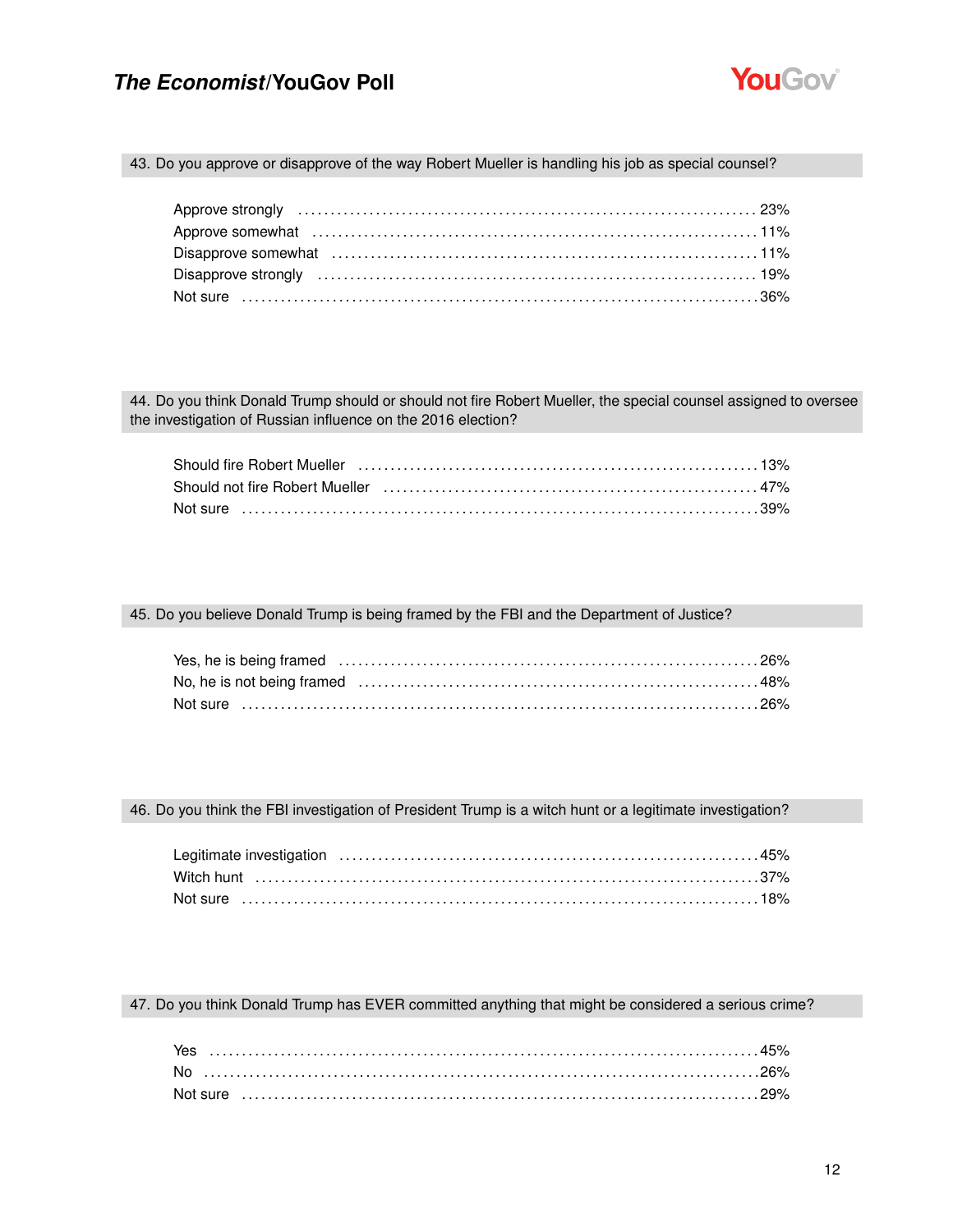

#### 43. Do you approve or disapprove of the way Robert Mueller is handling his job as special counsel?

| Not sure ……………………………………………………………………………………36% |  |
|----------------------------------------------|--|
|                                              |  |

44. Do you think Donald Trump should or should not fire Robert Mueller, the special counsel assigned to oversee the investigation of Russian influence on the 2016 election?

| Should fire Robert Mueller (and accommunication of the discover and the discover and the Should fire Robert Mueller |  |
|---------------------------------------------------------------------------------------------------------------------|--|
| Should not fire Robert Mueller (all according to the control of the distribution of the 47%)                        |  |
| Not sure ……………………………………………………………………………………39%                                                                        |  |

#### 45. Do you believe Donald Trump is being framed by the FBI and the Department of Justice?

#### 46. Do you think the FBI investigation of President Trump is a witch hunt or a legitimate investigation?

#### 47. Do you think Donald Trump has EVER committed anything that might be considered a serious crime?

| Yes |  |  |  |  |  |  |  |  |  |  |  |  |  |  |  |  |  |  |  |  |
|-----|--|--|--|--|--|--|--|--|--|--|--|--|--|--|--|--|--|--|--|--|
| No. |  |  |  |  |  |  |  |  |  |  |  |  |  |  |  |  |  |  |  |  |
|     |  |  |  |  |  |  |  |  |  |  |  |  |  |  |  |  |  |  |  |  |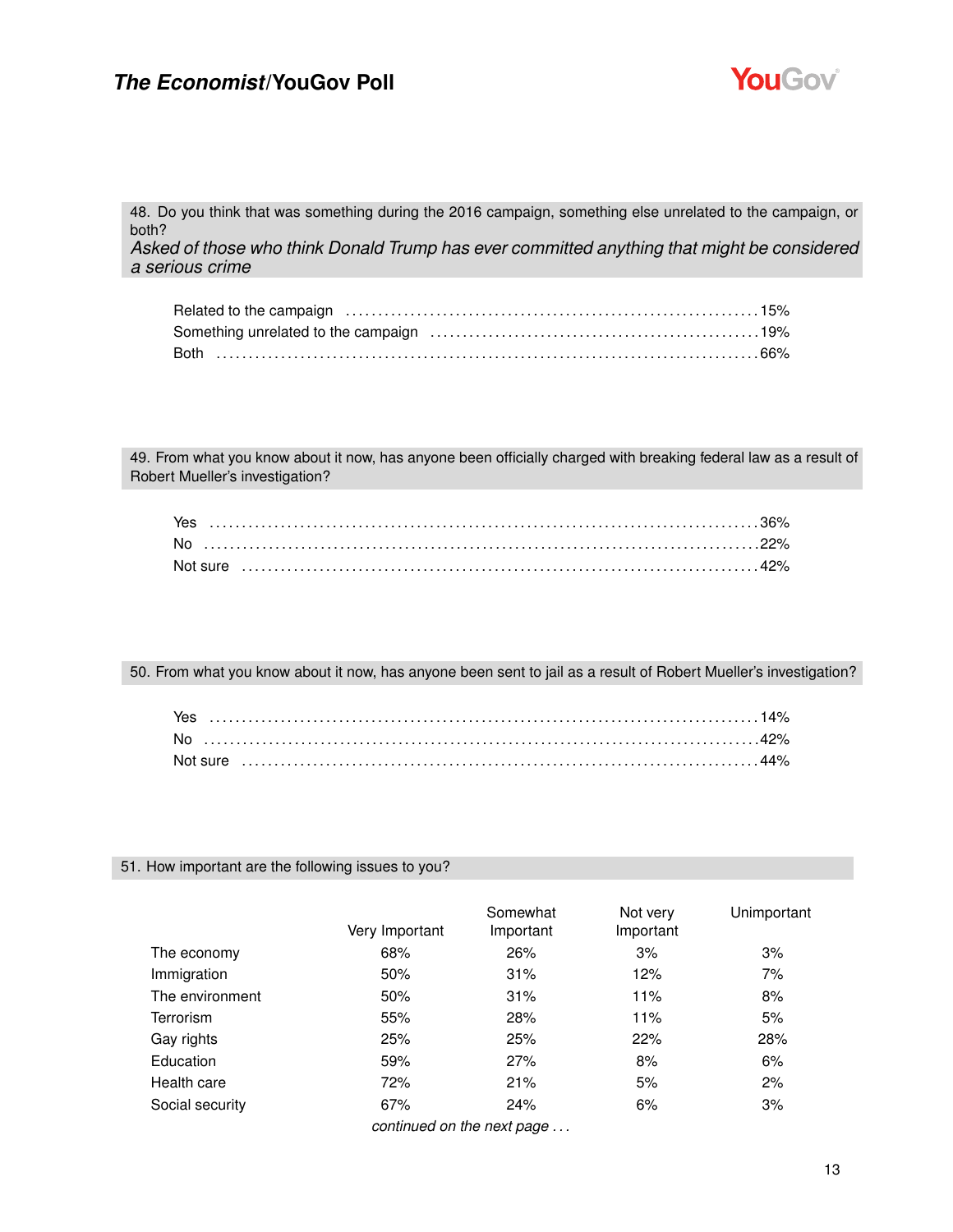

48. Do you think that was something during the 2016 campaign, something else unrelated to the campaign, or both? *Asked of those who think Donald Trump has ever committed anything that might be considered a serious crime*

49. From what you know about it now, has anyone been officially charged with breaking federal law as a result of Robert Mueller's investigation?

| Yes |  |  |  |  |  |  |  |  |  |  |  |
|-----|--|--|--|--|--|--|--|--|--|--|--|
| No. |  |  |  |  |  |  |  |  |  |  |  |
|     |  |  |  |  |  |  |  |  |  |  |  |

50. From what you know about it now, has anyone been sent to jail as a result of Robert Mueller's investigation?

| Yes |  |  |  |  |  |  |  |  |  |  |  |  |  |  |  |  |  |  |  |  |  |  |  |
|-----|--|--|--|--|--|--|--|--|--|--|--|--|--|--|--|--|--|--|--|--|--|--|--|
| No. |  |  |  |  |  |  |  |  |  |  |  |  |  |  |  |  |  |  |  |  |  |  |  |
|     |  |  |  |  |  |  |  |  |  |  |  |  |  |  |  |  |  |  |  |  |  |  |  |

#### 51. How important are the following issues to you?

|                  | Very Important             | Somewhat<br>Important | Not very<br>Important | Unimportant |
|------------------|----------------------------|-----------------------|-----------------------|-------------|
| The economy      | 68%                        | 26%                   | 3%                    | 3%          |
| Immigration      | 50%                        | 31%                   | 12%                   | 7%          |
| The environment  | 50%                        | 31%                   | 11%                   | 8%          |
| <b>Terrorism</b> | 55%                        | 28%                   | 11%                   | 5%          |
| Gay rights       | 25%                        | 25%                   | 22%                   | 28%         |
| Education        | 59%                        | 27%                   | 8%                    | 6%          |
| Health care      | 72%                        | 21%                   | 5%                    | 2%          |
| Social security  | 67%                        | 24%                   | 6%                    | 3%          |
|                  | continued on the next nage |                       |                       |             |

*continued on the next page . . .*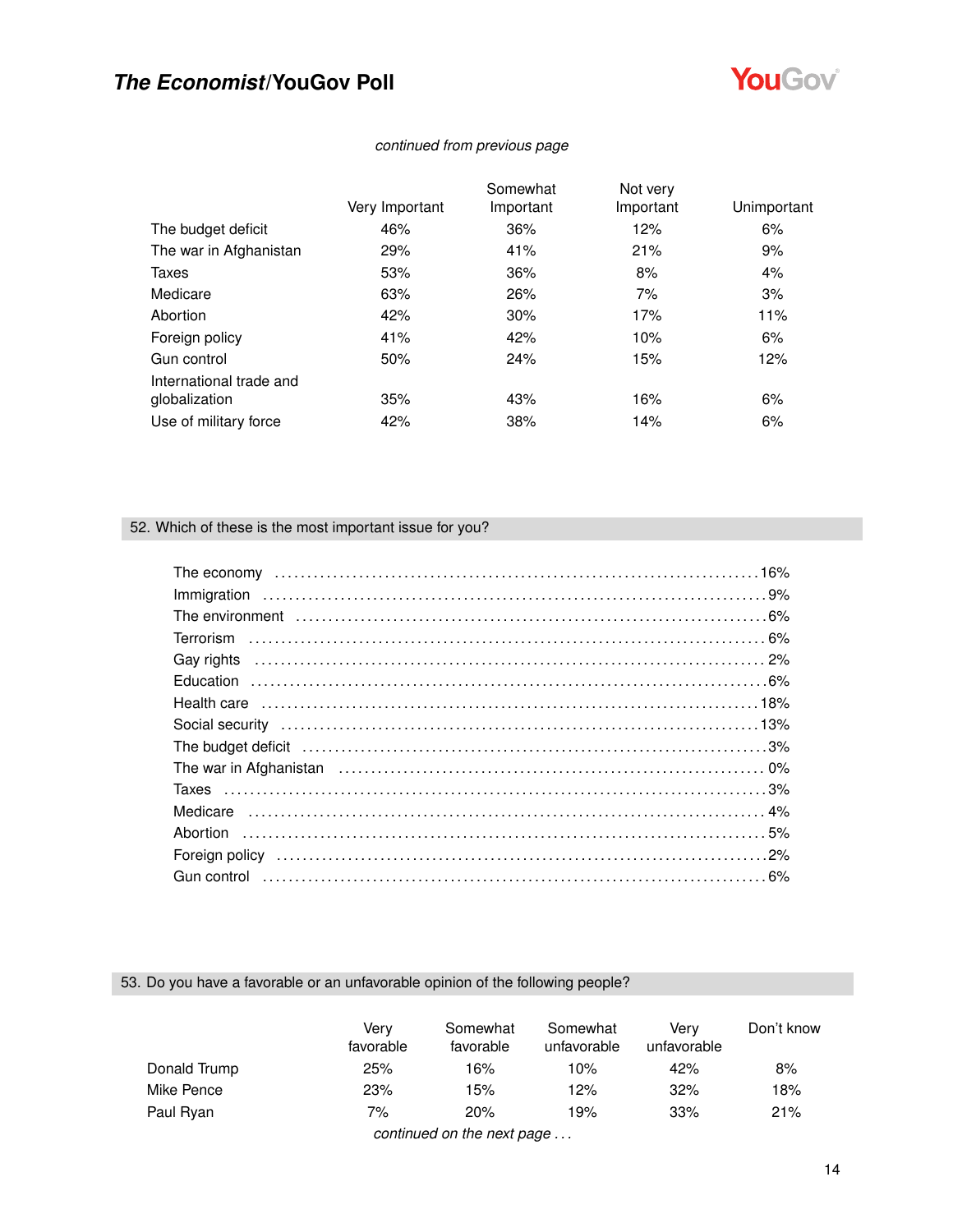

### *continued from previous page*

|     | Somewhat       | Not very  |             |
|-----|----------------|-----------|-------------|
|     |                |           | Unimportant |
| 46% | 36%            | 12%       | 6%          |
| 29% | 41%            | 21%       | 9%          |
| 53% | 36%            | 8%        | 4%          |
| 63% | 26%            | 7%        | 3%          |
| 42% | 30%            | 17%       | 11%         |
| 41% | 42%            | 10%       | 6%          |
| 50% | 24%            | 15%       | 12%         |
|     |                |           |             |
| 35% | 43%            | 16%       | 6%          |
| 42% | 38%            | 14%       | 6%          |
|     | Very Important | Important | Important   |

### 52. Which of these is the most important issue for you?

| Gay rights (a) and the contract of the contract of the contract of the contract of the contract of the contract of the contract of the contract of the contract of the contract of the contract of the contract of the contrac |  |
|--------------------------------------------------------------------------------------------------------------------------------------------------------------------------------------------------------------------------------|--|
|                                                                                                                                                                                                                                |  |
|                                                                                                                                                                                                                                |  |
|                                                                                                                                                                                                                                |  |
| The budget deficit (and according to the budget deficit (and according to the continuum of the budget deficit                                                                                                                  |  |
|                                                                                                                                                                                                                                |  |
|                                                                                                                                                                                                                                |  |
|                                                                                                                                                                                                                                |  |
|                                                                                                                                                                                                                                |  |
|                                                                                                                                                                                                                                |  |
|                                                                                                                                                                                                                                |  |

### 53. Do you have a favorable or an unfavorable opinion of the following people?

|              | Verv<br>favorable | Somewhat<br>favorable                | Somewhat<br>unfavorable | Verv<br>unfavorable | Don't know |
|--------------|-------------------|--------------------------------------|-------------------------|---------------------|------------|
| Donald Trump | 25%               | 16%                                  | 10%                     | 42%                 | 8%         |
| Mike Pence   | 23%               | 15%                                  | 12%                     | 32%                 | 18%        |
| Paul Ryan    | 7%                | 20%                                  | 19%                     | 33%                 | 21%        |
|              |                   | santino calculation and manufacturer |                         |                     |            |

*continued on the next page . . .*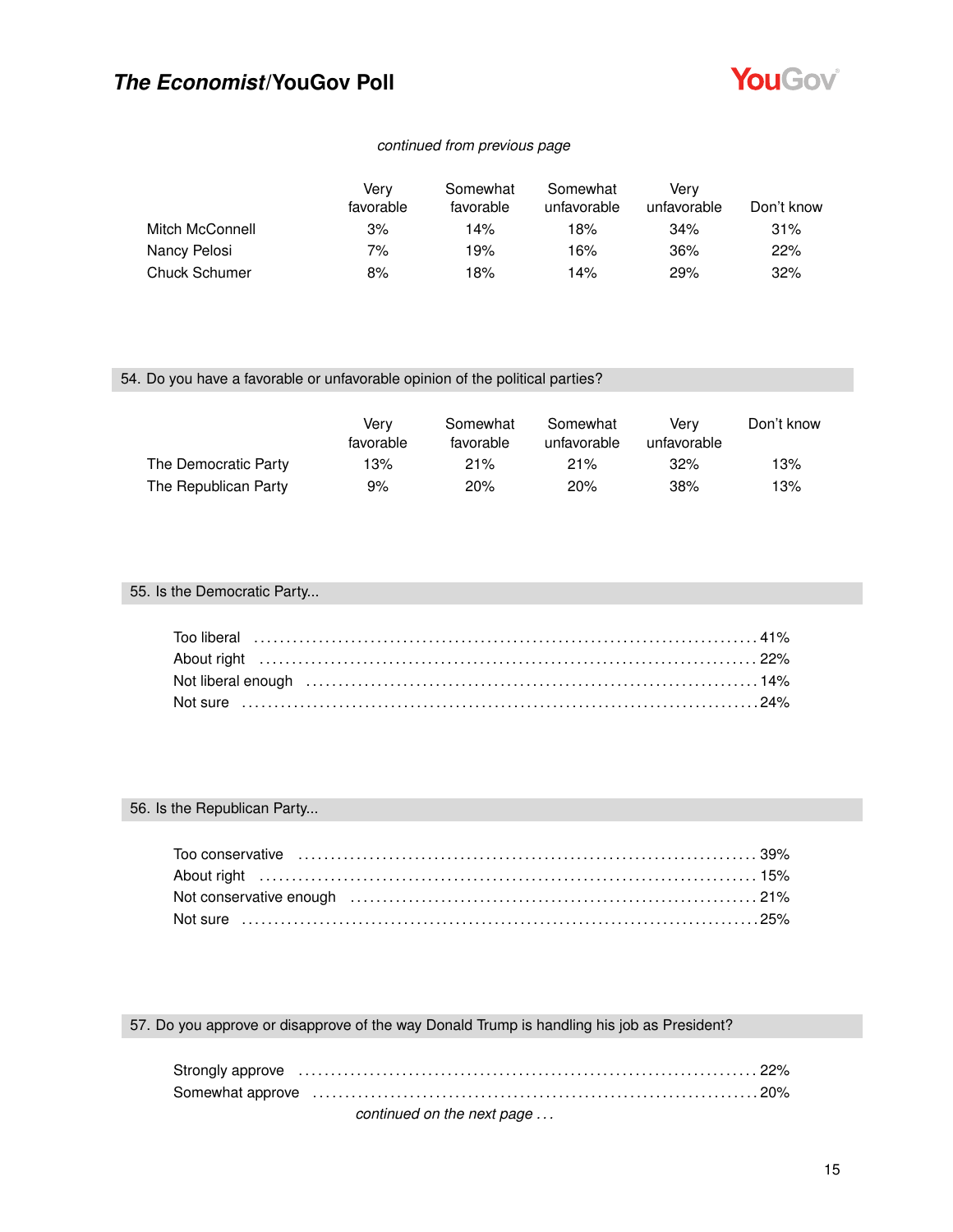

### *continued from previous page*

|                      | Verv<br>favorable | Somewhat<br>favorable | Somewhat<br>unfavorable | Verv<br>unfavorable | Don't know |
|----------------------|-------------------|-----------------------|-------------------------|---------------------|------------|
| Mitch McConnell      | 3%                | 14%                   | 18%                     | 34%                 | 31%        |
| Nancy Pelosi         | 7%                | 19%                   | 16%                     | 36%                 | 22%        |
| <b>Chuck Schumer</b> | 8%                | 18%                   | 14%                     | 29%                 | 32%        |

### 54. Do you have a favorable or unfavorable opinion of the political parties?

|                      | Verv<br>favorable | Somewhat<br>favorable | Somewhat<br>unfavorable | Verv<br>unfavorable | Don't know |
|----------------------|-------------------|-----------------------|-------------------------|---------------------|------------|
| The Democratic Party | 13%               | $21\%$                | 21%                     | 32%                 | 13%        |
| The Republican Party | 9%                | 20%                   | 20%                     | 38%                 | 13%        |

## 55. Is the Democratic Party...

#### 56. Is the Republican Party...

# 57. Do you approve or disapprove of the way Donald Trump is handling his job as President?

| Strongly approve material contracts and the contracts of the contracts of the contracts of the contracts of the contracts of the contracts of the contracts of the contracts of the contracts of the contracts of the contract |  |
|--------------------------------------------------------------------------------------------------------------------------------------------------------------------------------------------------------------------------------|--|
|                                                                                                                                                                                                                                |  |
| continued on the next page                                                                                                                                                                                                     |  |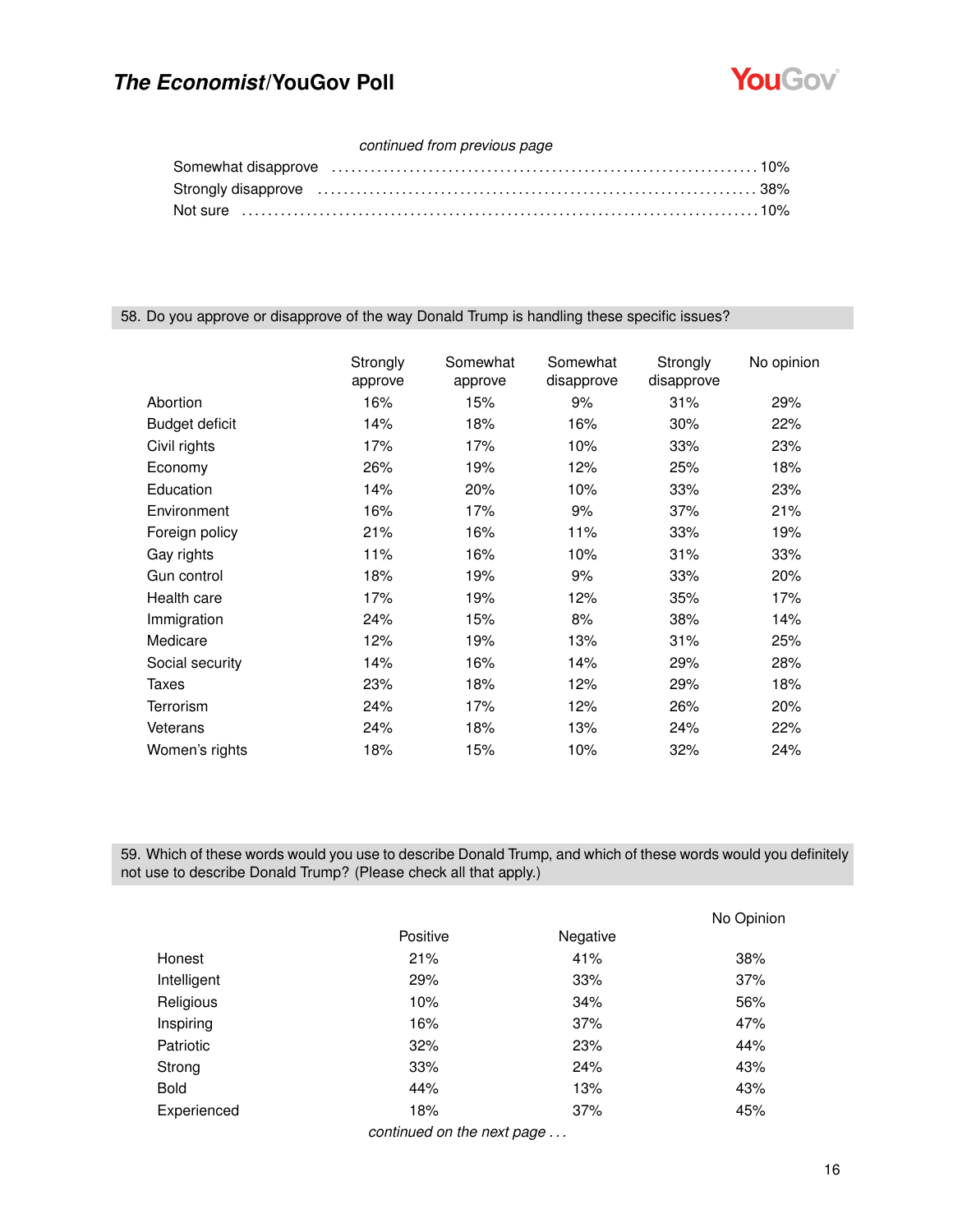

### *continued from previous page*

| Somewhat disapprove encourance contains the control of the state of the state of the state of the state of the |  |
|----------------------------------------------------------------------------------------------------------------|--|
|                                                                                                                |  |
|                                                                                                                |  |

#### 58. Do you approve or disapprove of the way Donald Trump is handling these specific issues?

|                       | Strongly<br>approve | Somewhat<br>approve | Somewhat<br>disapprove | Strongly<br>disapprove | No opinion |
|-----------------------|---------------------|---------------------|------------------------|------------------------|------------|
| Abortion              | 16%                 | 15%                 | 9%                     | 31%                    | 29%        |
| <b>Budget deficit</b> | 14%                 | 18%                 | 16%                    | 30%                    | 22%        |
| Civil rights          | 17%                 | 17%                 | 10%                    | 33%                    | 23%        |
| Economy               | 26%                 | 19%                 | 12%                    | 25%                    | 18%        |
| Education             | 14%                 | 20%                 | 10%                    | 33%                    | 23%        |
| Environment           | 16%                 | 17%                 | 9%                     | 37%                    | 21%        |
| Foreign policy        | 21%                 | 16%                 | 11%                    | 33%                    | 19%        |
| Gay rights            | 11%                 | 16%                 | 10%                    | 31%                    | 33%        |
| Gun control           | 18%                 | 19%                 | 9%                     | 33%                    | 20%        |
| Health care           | 17%                 | 19%                 | 12%                    | 35%                    | 17%        |
| Immigration           | 24%                 | 15%                 | 8%                     | 38%                    | 14%        |
| Medicare              | 12%                 | 19%                 | 13%                    | 31%                    | 25%        |
| Social security       | 14%                 | 16%                 | 14%                    | 29%                    | 28%        |
| Taxes                 | 23%                 | 18%                 | 12%                    | 29%                    | 18%        |
| <b>Terrorism</b>      | 24%                 | 17%                 | 12%                    | 26%                    | 20%        |
| Veterans              | 24%                 | 18%                 | 13%                    | 24%                    | 22%        |
| Women's rights        | 18%                 | 15%                 | 10%                    | 32%                    | 24%        |

59. Which of these words would you use to describe Donald Trump, and which of these words would you definitely not use to describe Donald Trump? (Please check all that apply.)

|             |                            |          | No Opinion |
|-------------|----------------------------|----------|------------|
|             | Positive                   | Negative |            |
| Honest      | 21%                        | 41%      | 38%        |
| Intelligent | 29%                        | 33%      | 37%        |
| Religious   | 10%                        | 34%      | 56%        |
| Inspiring   | 16%                        | 37%      | 47%        |
| Patriotic   | 32%                        | 23%      | 44%        |
| Strong      | 33%                        | 24%      | 43%        |
| <b>Bold</b> | 44%                        | 13%      | 43%        |
| Experienced | 18%                        | 37%      | 45%        |
|             | continued on the nout nexe |          |            |

*continued on the next page . . .*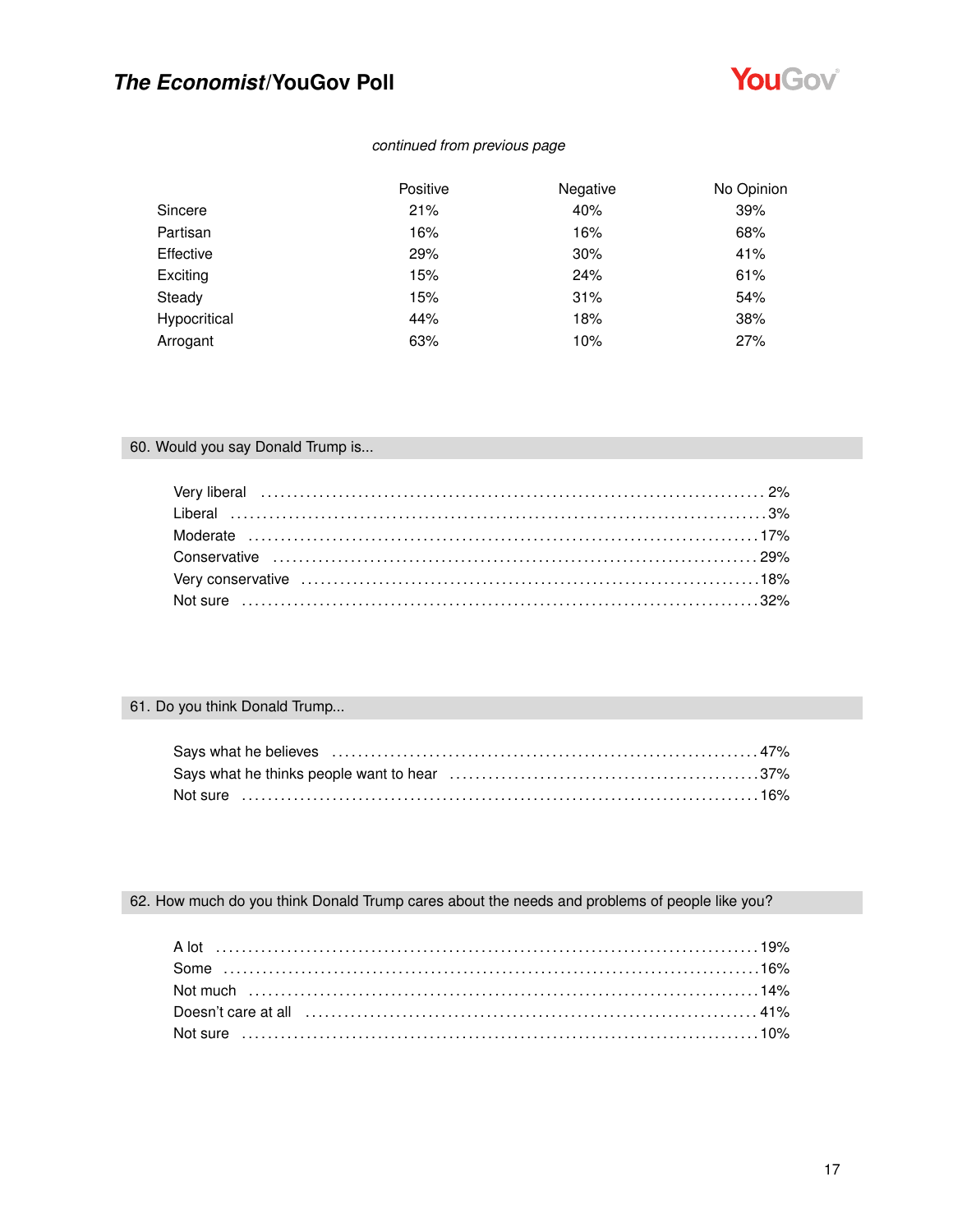

## *continued from previous page*

|              | Positive | Negative | No Opinion |
|--------------|----------|----------|------------|
| Sincere      | 21%      | 40%      | 39%        |
| Partisan     | 16%      | 16%      | 68%        |
| Effective    | 29%      | 30%      | 41%        |
| Exciting     | 15%      | 24%      | 61%        |
| Steady       | 15%      | 31%      | 54%        |
| Hypocritical | 44%      | 18%      | 38%        |
| Arrogant     | 63%      | 10%      | 27%        |

## 60. Would you say Donald Trump is...

## 61. Do you think Donald Trump...

| Not sure   ………………………………………………………………………………………16% |  |
|-------------------------------------------------|--|

# 62. How much do you think Donald Trump cares about the needs and problems of people like you?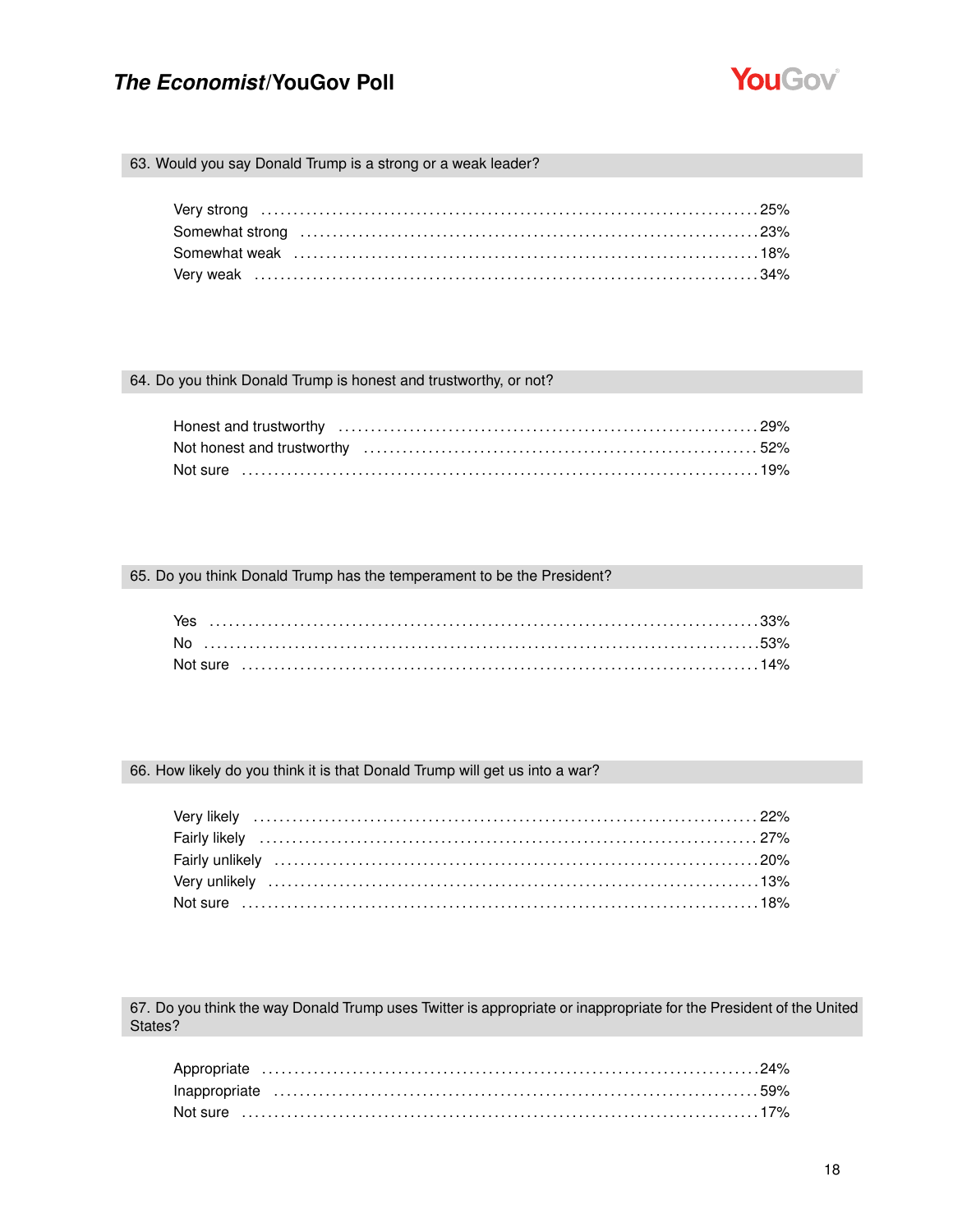

#### 63. Would you say Donald Trump is a strong or a weak leader?

#### 64. Do you think Donald Trump is honest and trustworthy, or not?

#### 65. Do you think Donald Trump has the temperament to be the President?

#### 66. How likely do you think it is that Donald Trump will get us into a war?

67. Do you think the way Donald Trump uses Twitter is appropriate or inappropriate for the President of the United States?

| Not sure …………………………………………………………………………………17% |  |
|---------------------------------------------|--|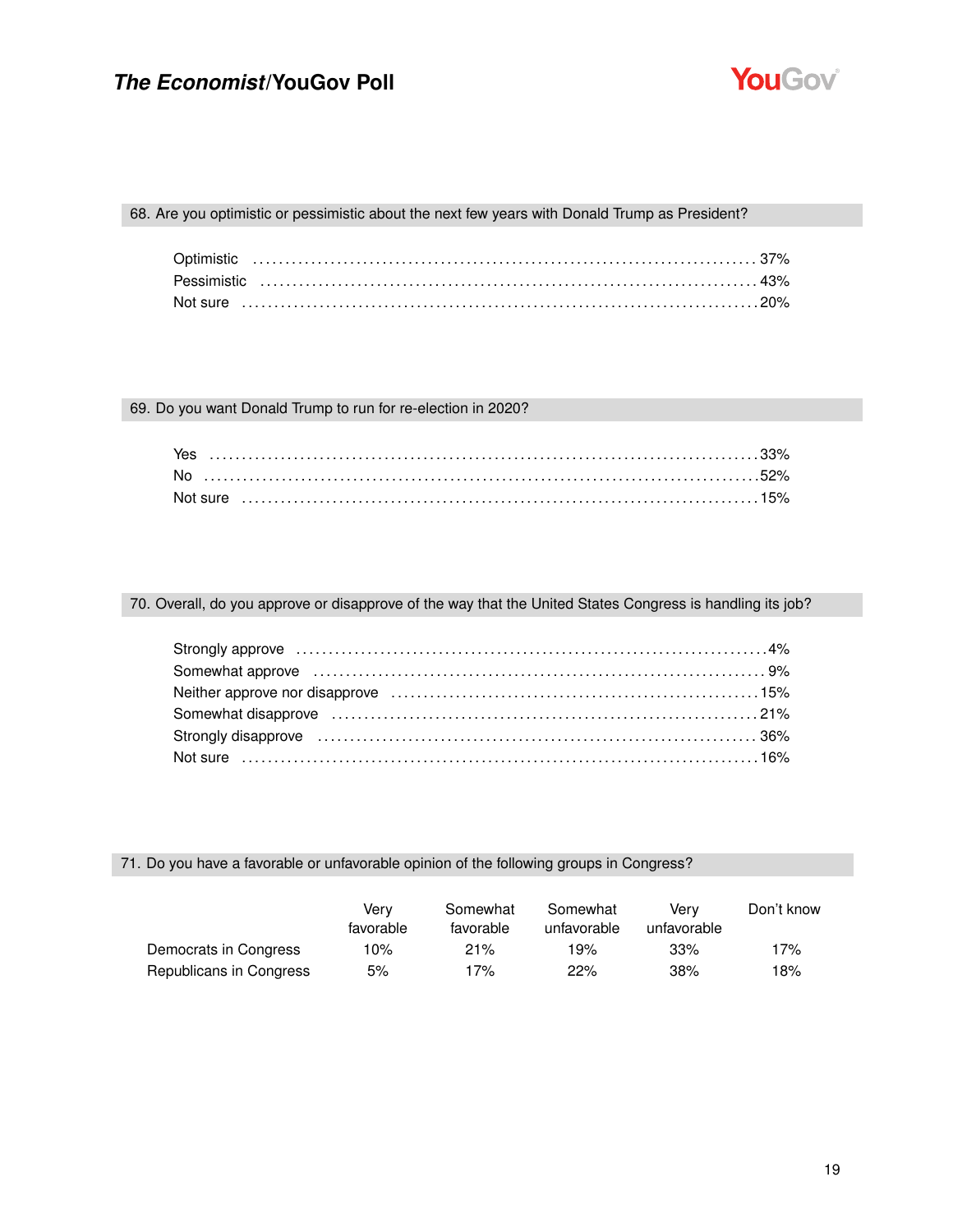

### 68. Are you optimistic or pessimistic about the next few years with Donald Trump as President?

### 69. Do you want Donald Trump to run for re-election in 2020?

| Yes |  |
|-----|--|
|     |  |
|     |  |

#### 70. Overall, do you approve or disapprove of the way that the United States Congress is handling its job?

| Strongly approve influential continuum control and the strongly approve influential control and the strongly approve in the strongly approve in the strongly approve in the strongly strongly approve in the strongly strongly |  |
|--------------------------------------------------------------------------------------------------------------------------------------------------------------------------------------------------------------------------------|--|
|                                                                                                                                                                                                                                |  |
|                                                                                                                                                                                                                                |  |
| Somewhat disapprove (and according control of the control of the control of the control of the control of the control of the control of the control of the control of the control of the control of the control of the control |  |
|                                                                                                                                                                                                                                |  |
|                                                                                                                                                                                                                                |  |

### 71. Do you have a favorable or unfavorable opinion of the following groups in Congress?

|                         | Verv<br>favorable | Somewhat<br>favorable | Somewhat<br>unfavorable | Verv<br>unfavorable | Don't know |
|-------------------------|-------------------|-----------------------|-------------------------|---------------------|------------|
| Democrats in Congress   | 10%               | 21%                   | 19%                     | 33%                 | 17%        |
| Republicans in Congress | 5%                | 17%                   | 22%                     | 38%                 | 18%        |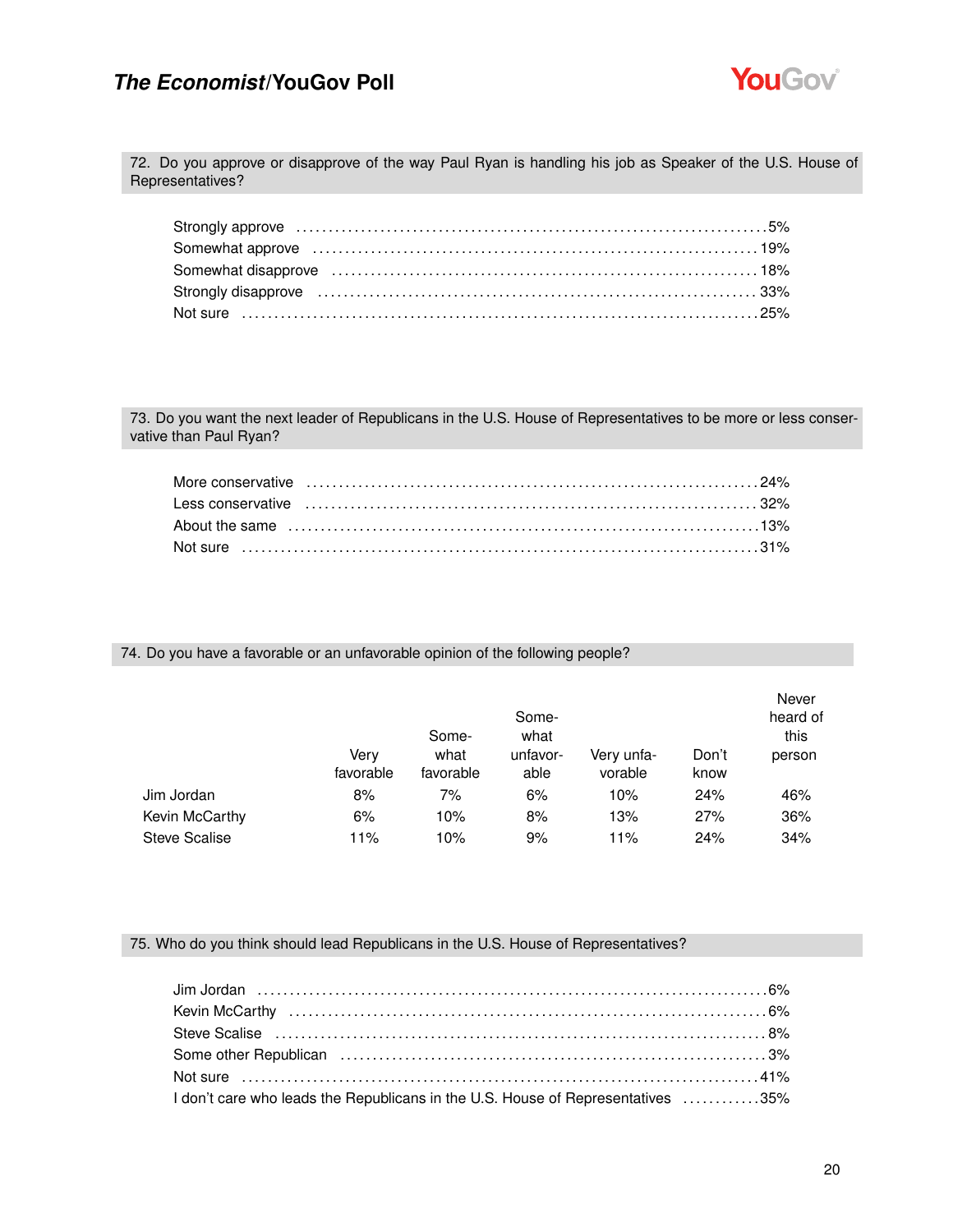

72. Do you approve or disapprove of the way Paul Ryan is handling his job as Speaker of the U.S. House of Representatives?

| Somewhat approve increases in the contract of the set of the set of the set of the set of the set of the set o |  |
|----------------------------------------------------------------------------------------------------------------|--|
|                                                                                                                |  |
|                                                                                                                |  |
|                                                                                                                |  |

73. Do you want the next leader of Republicans in the U.S. House of Representatives to be more or less conservative than Paul Ryan?

74. Do you have a favorable or an unfavorable opinion of the following people?

|                      |                   | Some-<br>Some-<br>what |                  |                       |               | Never<br>heard of<br>this |
|----------------------|-------------------|------------------------|------------------|-----------------------|---------------|---------------------------|
|                      | Verv<br>favorable | what<br>favorable      | unfavor-<br>able | Very unfa-<br>vorable | Don't<br>know | person                    |
| Jim Jordan           | 8%                | 7%                     | 6%               | 10%                   | 24%           | 46%                       |
| Kevin McCarthy       | 6%                | 10%                    | 8%               | 13%                   | 27%           | 36%                       |
| <b>Steve Scalise</b> | 11%               | 10%                    | 9%               | 11%                   | 24%           | 34%                       |

#### 75. Who do you think should lead Republicans in the U.S. House of Representatives?

| I don't care who leads the Republicans in the U.S. House of Representatives 35% |  |
|---------------------------------------------------------------------------------|--|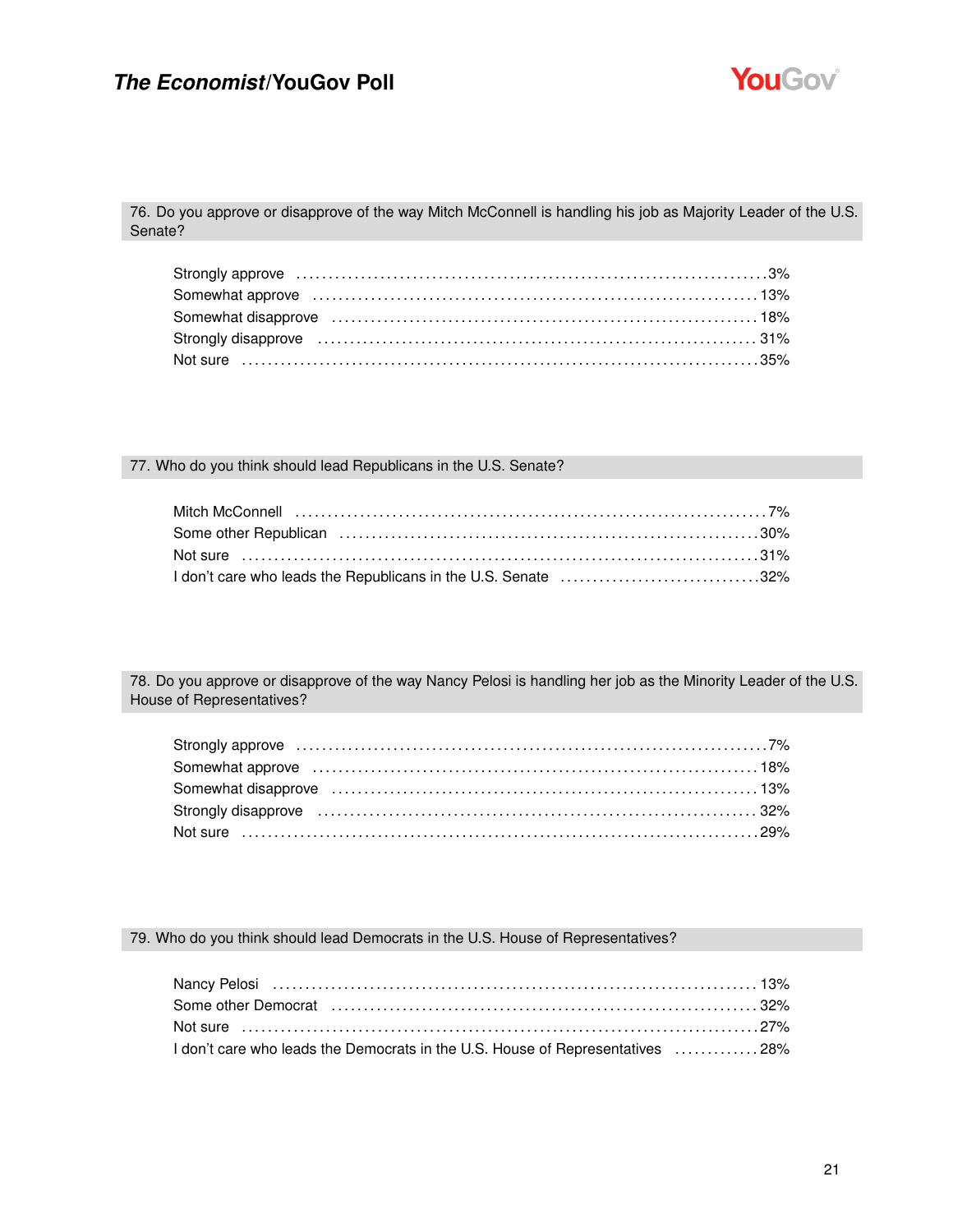

76. Do you approve or disapprove of the way Mitch McConnell is handling his job as Majority Leader of the U.S. Senate?

| Somewhat approve increases and contact the control of the state of the state of the state of the state of the state of the state of the state of the state of the state of the state of the state of the state of the state of |  |
|--------------------------------------------------------------------------------------------------------------------------------------------------------------------------------------------------------------------------------|--|
| Somewhat disapprove (and the contract of the contract of the state of the state of the state of the state of the state of the state of the state of the state of the state of the state of the state of the state of the state |  |
|                                                                                                                                                                                                                                |  |
|                                                                                                                                                                                                                                |  |

### 77. Who do you think should lead Republicans in the U.S. Senate?

| I don't care who leads the Republicans in the U.S. Senate 32% |  |
|---------------------------------------------------------------|--|

78. Do you approve or disapprove of the way Nancy Pelosi is handling her job as the Minority Leader of the U.S. House of Representatives?

| Somewhat disapprove (and the content of the content of the content of the state of the state of the state of t  |  |
|-----------------------------------------------------------------------------------------------------------------|--|
| Strongly disapprove (all accordination of the strongle of the strongle of the strongle strongle strongle strong |  |
|                                                                                                                 |  |

### 79. Who do you think should lead Democrats in the U.S. House of Representatives?

| Nancy Pelosi (and according to the control of the control of the control of the control of the control of the c |  |
|-----------------------------------------------------------------------------------------------------------------|--|
| Some other Democrat (and the continuum continuum control of the same other Democrat                             |  |
|                                                                                                                 |  |
| 1 don't care who leads the Democrats in the U.S. House of Representatives 28%                                   |  |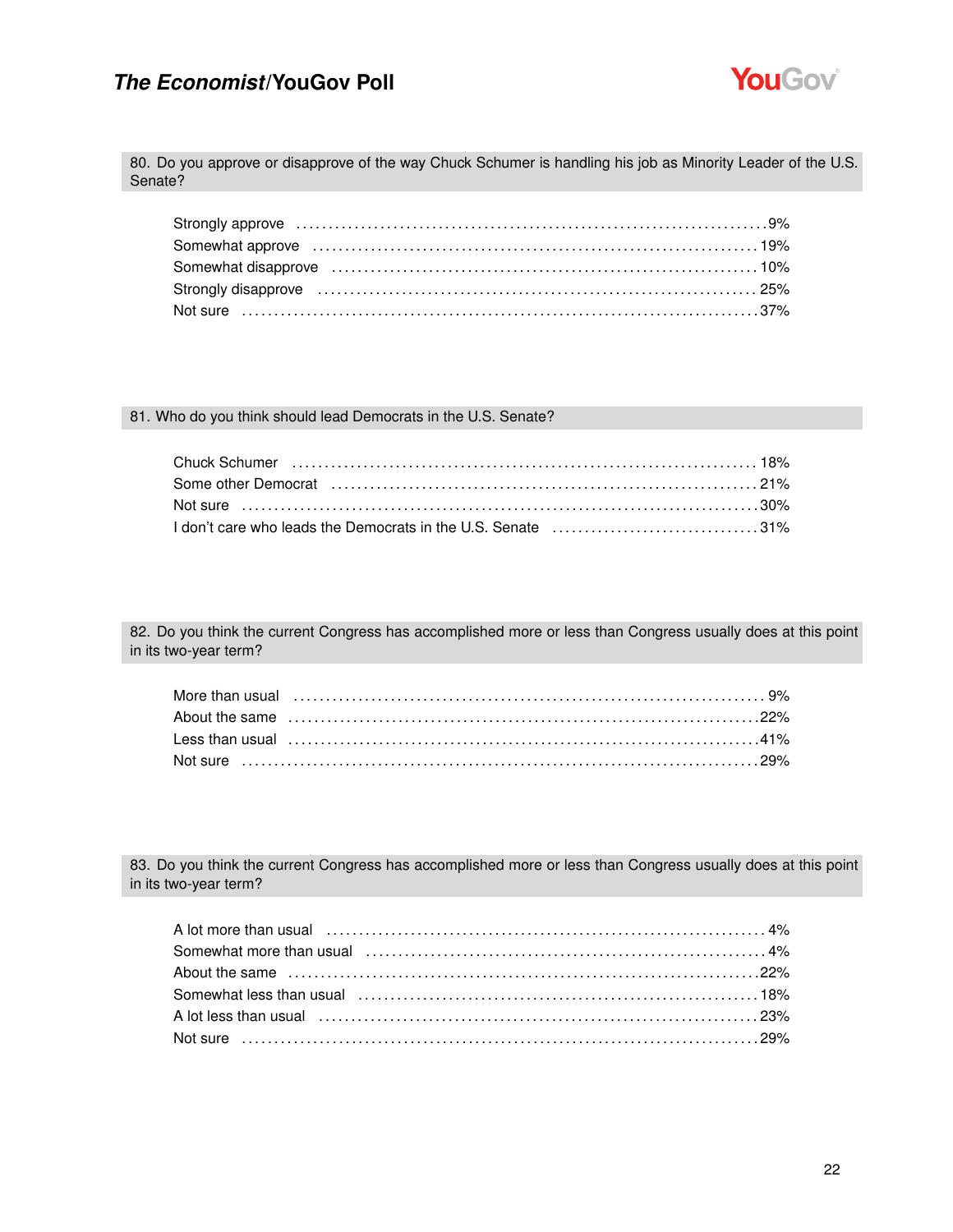

80. Do you approve or disapprove of the way Chuck Schumer is handling his job as Minority Leader of the U.S. Senate?

| Somewhat approve encounteration of the control of the set of the set of the set of the set of the set of the s |  |
|----------------------------------------------------------------------------------------------------------------|--|
|                                                                                                                |  |
| Strongly disapprove manufactured and the control of the control of the control of the control of the control o |  |
|                                                                                                                |  |

#### 81. Who do you think should lead Democrats in the U.S. Senate?

| I don't care who leads the Democrats in the U.S. Senate 31% |  |
|-------------------------------------------------------------|--|

82. Do you think the current Congress has accomplished more or less than Congress usually does at this point in its two-year term?

| More than usual (all the continuum control of the state of the state of the state of the state of the state of |  |
|----------------------------------------------------------------------------------------------------------------|--|
|                                                                                                                |  |
|                                                                                                                |  |
|                                                                                                                |  |

83. Do you think the current Congress has accomplished more or less than Congress usually does at this point in its two-year term?

| A lot more than usual (a) and the contract of the state of the state of the state of the state of the state of the state of the state of the state of the state of the state of the state of the state of the state of the sta |  |
|--------------------------------------------------------------------------------------------------------------------------------------------------------------------------------------------------------------------------------|--|
|                                                                                                                                                                                                                                |  |
|                                                                                                                                                                                                                                |  |
|                                                                                                                                                                                                                                |  |
| A lot less than usual (a) contained a series and contained a series and a series and series and series and seri                                                                                                                |  |
|                                                                                                                                                                                                                                |  |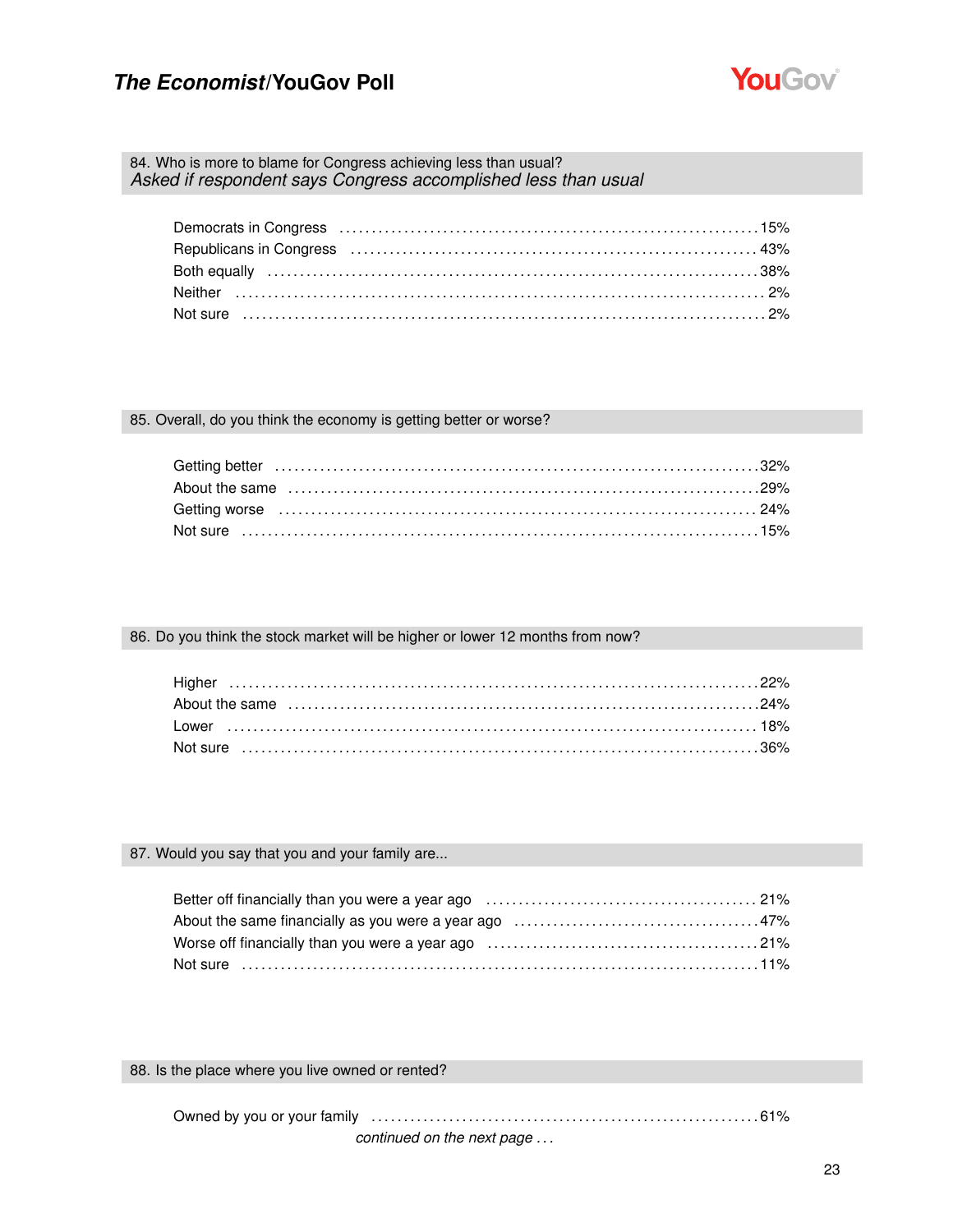

84. Who is more to blame for Congress achieving less than usual? *Asked if respondent says Congress accomplished less than usual*

85. Overall, do you think the economy is getting better or worse?

| Not sure …………………………………………………………………………………15% |  |
|---------------------------------------------|--|

86. Do you think the stock market will be higher or lower 12 months from now?

#### 87. Would you say that you and your family are...

88. Is the place where you live owned or rented?

Owned by you or your family . . . . . . . . . . . . . . . . . . . . . . . . . . . . . . . . . . . . . . . . . . . . . . . . . . . . . . . . . . . . 61%

*continued on the next page . . .*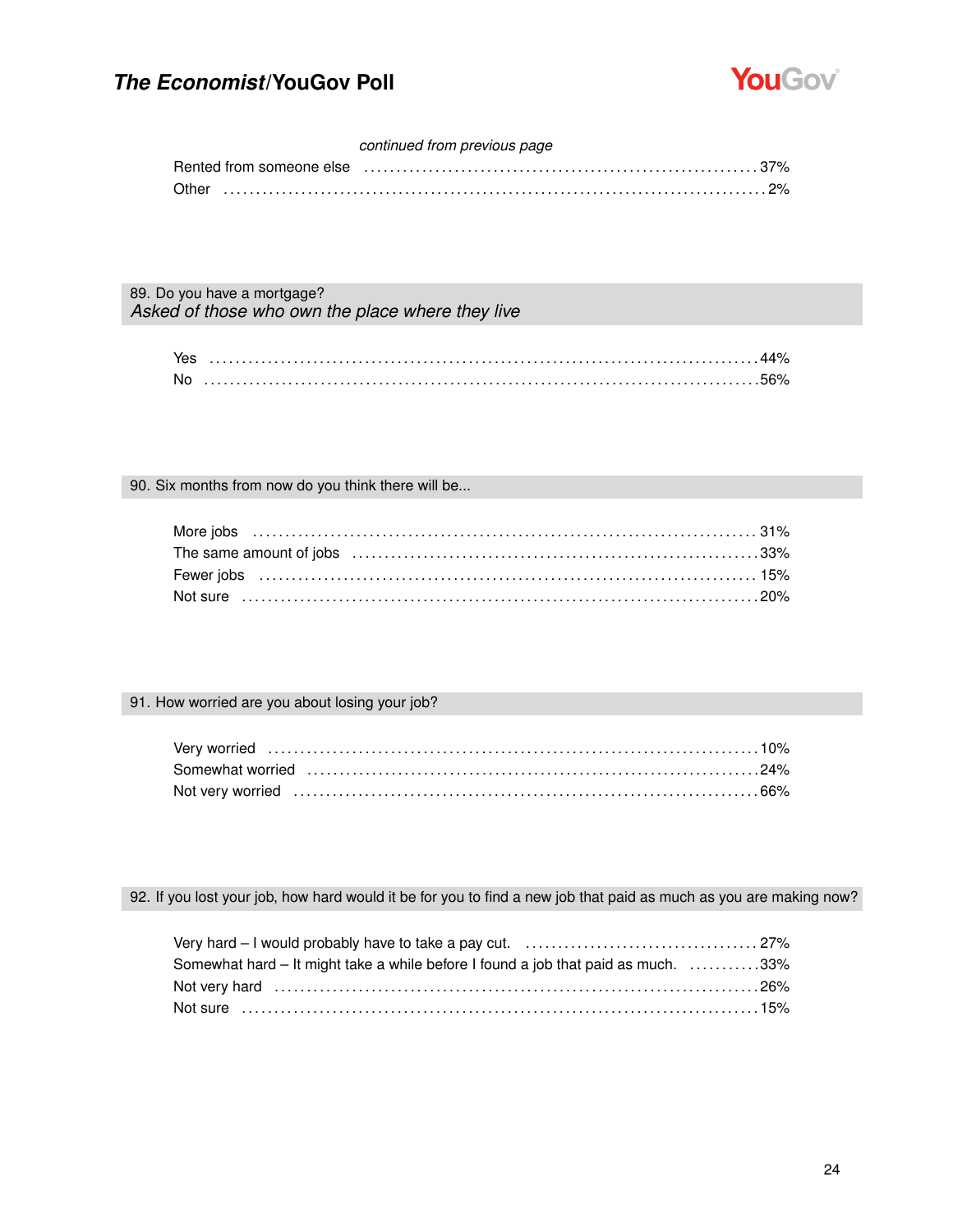

### *continued from previous page*

|  |  | Rented from someone else entertainment controller controller and the state of the state of the state of the st |
|--|--|----------------------------------------------------------------------------------------------------------------|
|  |  |                                                                                                                |

89. Do you have a mortgage? *Asked of those who own the place where they live*

| <b>No</b> |  |
|-----------|--|

#### 90. Six months from now do you think there will be...

## 91. How worried are you about losing your job?

92. If you lost your job, how hard would it be for you to find a new job that paid as much as you are making now?

| Somewhat hard – It might take a while before I found a job that paid as much. 33% |  |
|-----------------------------------------------------------------------------------|--|
|                                                                                   |  |
| Not sure …………………………………………………………………………………15%                                       |  |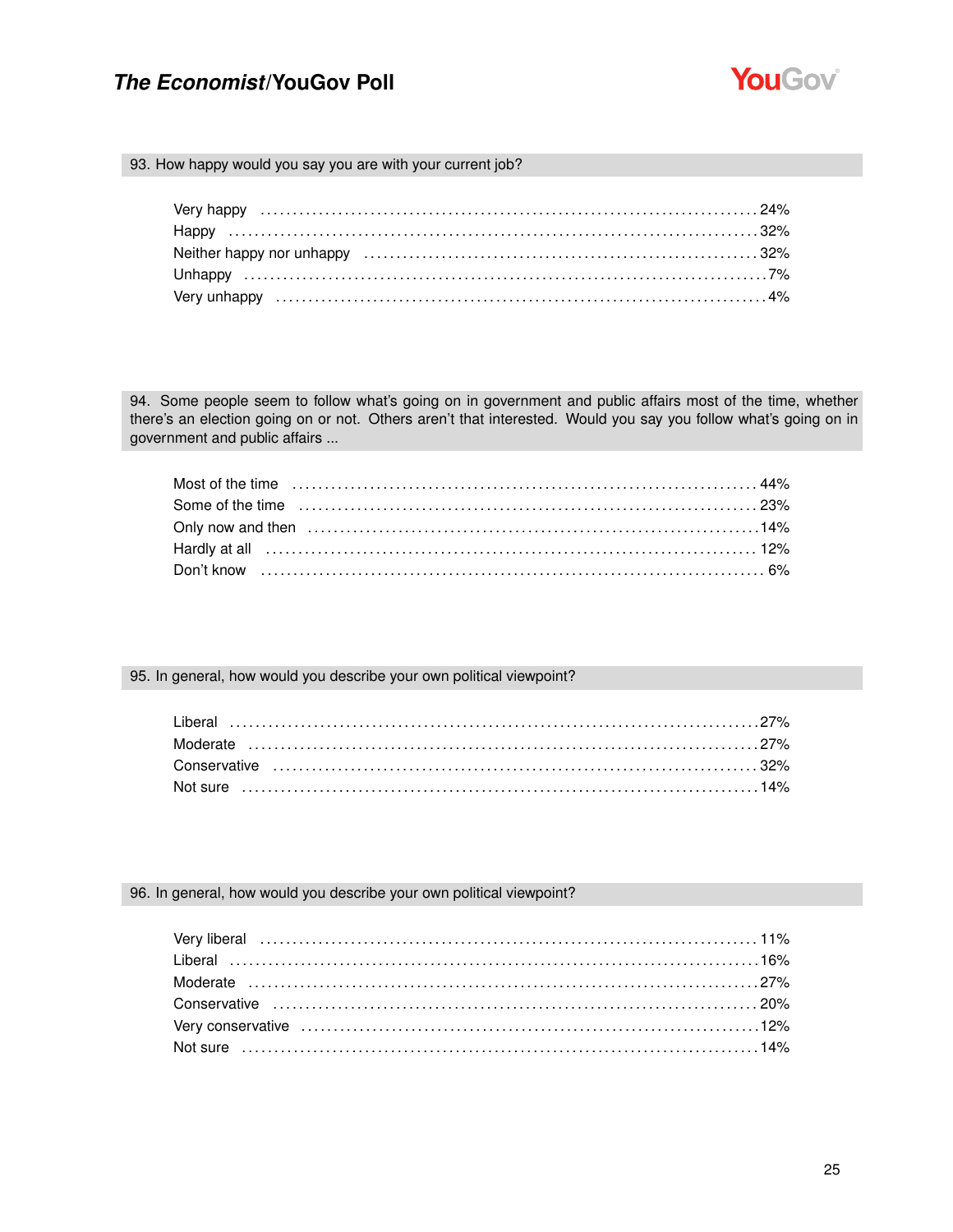

93. How happy would you say you are with your current job?

94. Some people seem to follow what's going on in government and public affairs most of the time, whether there's an election going on or not. Others aren't that interested. Would you say you follow what's going on in government and public affairs ...

95. In general, how would you describe your own political viewpoint?

#### 96. In general, how would you describe your own political viewpoint?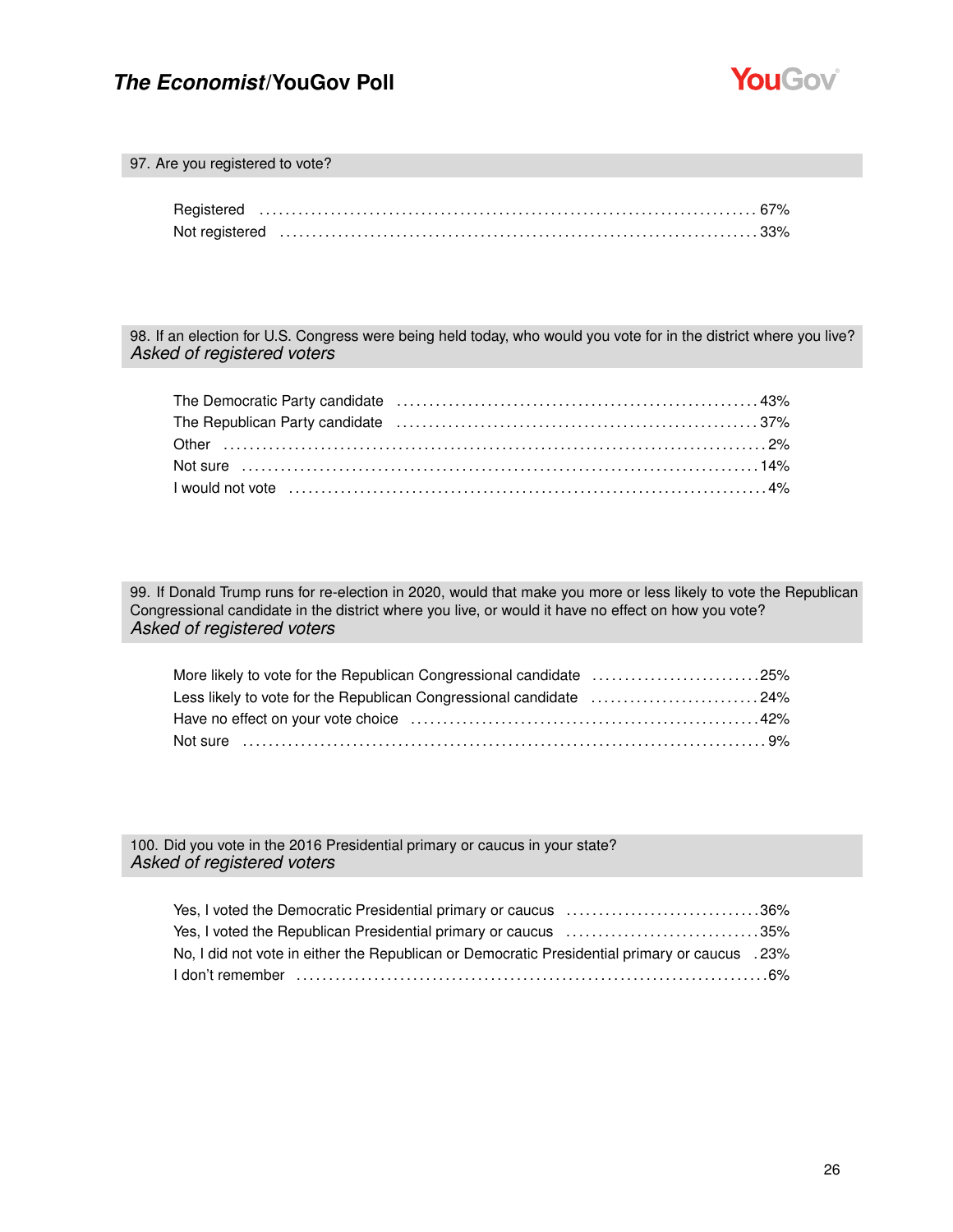

97. Are you registered to vote?

98. If an election for U.S. Congress were being held today, who would you vote for in the district where you live? *Asked of registered voters*

| The Republican Party candidate (and intermal contained and analytic order and the Republican Party candidate (b |  |
|-----------------------------------------------------------------------------------------------------------------|--|
|                                                                                                                 |  |
|                                                                                                                 |  |
|                                                                                                                 |  |

99. If Donald Trump runs for re-election in 2020, would that make you more or less likely to vote the Republican Congressional candidate in the district where you live, or would it have no effect on how you vote? *Asked of registered voters*

| More likely to vote for the Republican Congressional candidate 25% |  |
|--------------------------------------------------------------------|--|
| Less likely to vote for the Republican Congressional candidate 24% |  |
|                                                                    |  |
|                                                                    |  |

100. Did you vote in the 2016 Presidential primary or caucus in your state? *Asked of registered voters*

| Yes, I voted the Democratic Presidential primary or caucus 36%                                 |  |
|------------------------------------------------------------------------------------------------|--|
| Yes, I voted the Republican Presidential primary or caucus 35%                                 |  |
| No, I did not vote in either the Republican or Democratic Presidential primary or caucus . 23% |  |
|                                                                                                |  |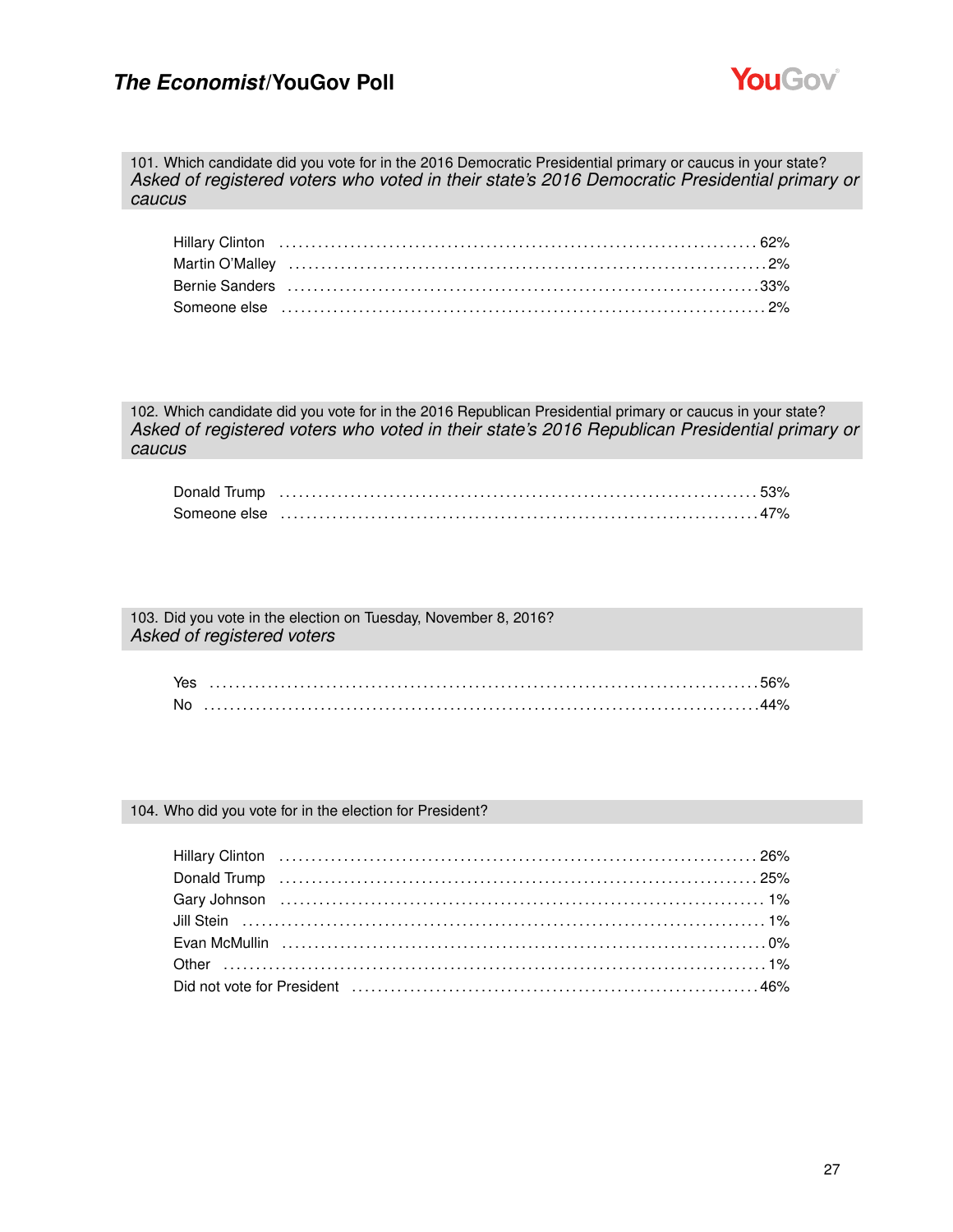

101. Which candidate did you vote for in the 2016 Democratic Presidential primary or caucus in your state? *Asked of registered voters who voted in their state's 2016 Democratic Presidential primary or caucus*

| Bernie Sanders (and the continuum of the control of the control of the control of the control of the control o |  |
|----------------------------------------------------------------------------------------------------------------|--|
|                                                                                                                |  |

102. Which candidate did you vote for in the 2016 Republican Presidential primary or caucus in your state? *Asked of registered voters who voted in their state's 2016 Republican Presidential primary or caucus*

103. Did you vote in the election on Tuesday, November 8, 2016? *Asked of registered voters*

| .No |  |
|-----|--|

#### 104. Who did you vote for in the election for President?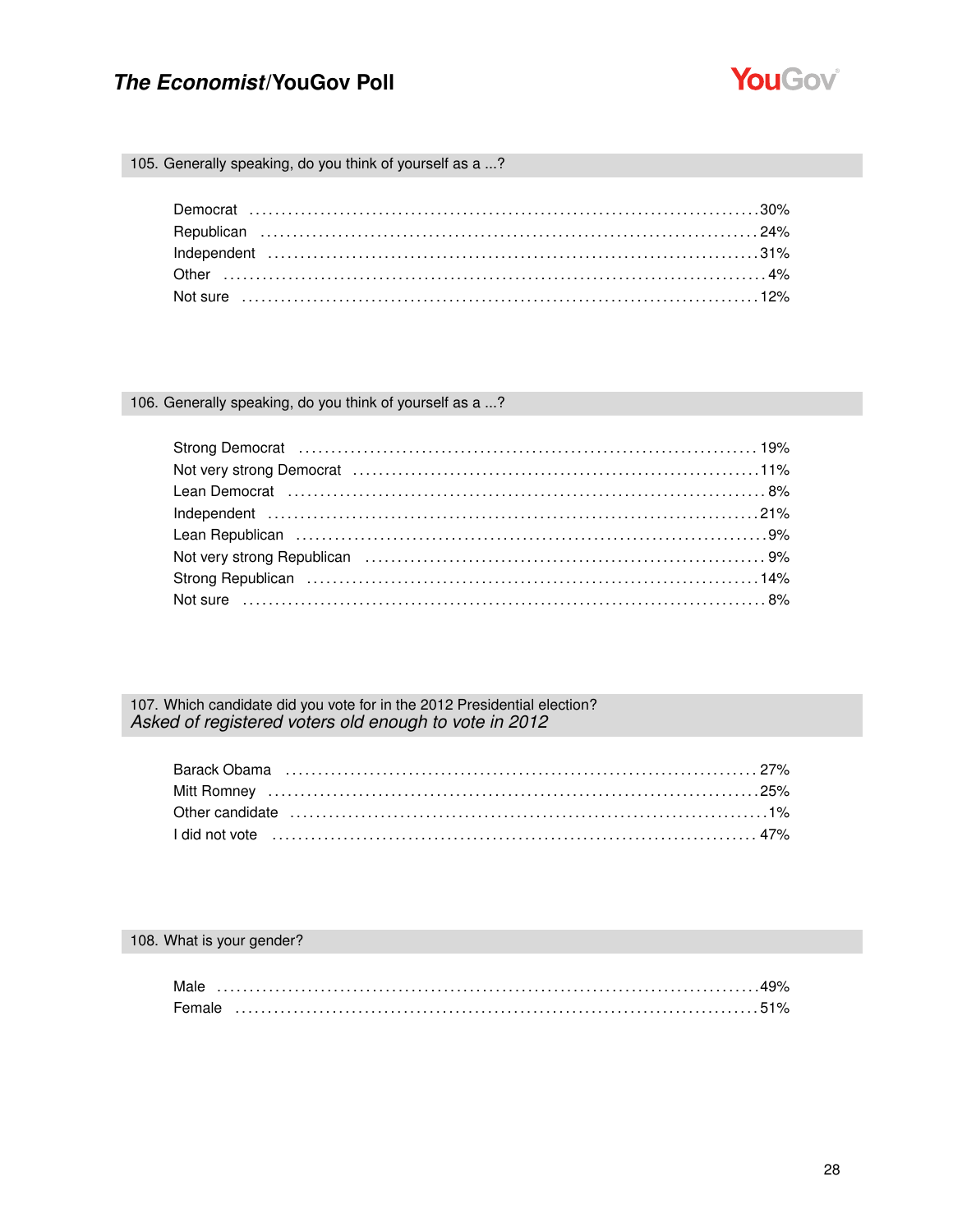

105. Generally speaking, do you think of yourself as a ...?

### 106. Generally speaking, do you think of yourself as a ...?

## 107. Which candidate did you vote for in the 2012 Presidential election? Asked of registered voters old enough to vote in 2012

### 108. What is your gender?

| Male   |  |  |  |  |  |  |  |  |  |  |  |  |  |  |  |  |  |  |  |
|--------|--|--|--|--|--|--|--|--|--|--|--|--|--|--|--|--|--|--|--|
| Female |  |  |  |  |  |  |  |  |  |  |  |  |  |  |  |  |  |  |  |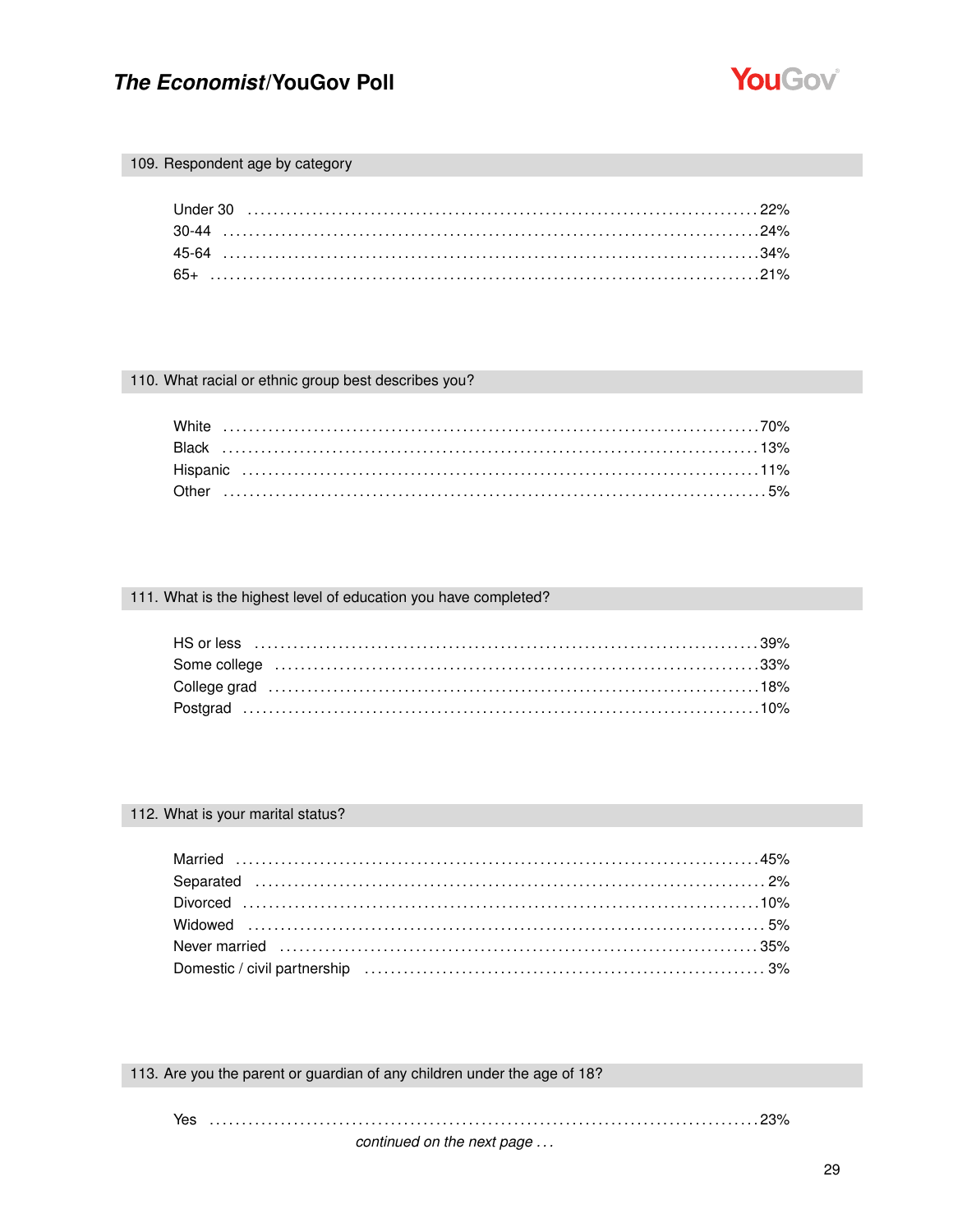

#### 109. Respondent age by category

#### 110. What racial or ethnic group best describes you?

#### 111. What is the highest level of education you have completed?

| Some college (and according to the collection of the collection of the collection of the collection of the collection of the collection of the collection of the collection of the collection of the collection of the collect |  |
|--------------------------------------------------------------------------------------------------------------------------------------------------------------------------------------------------------------------------------|--|
|                                                                                                                                                                                                                                |  |
|                                                                                                                                                                                                                                |  |

### 112. What is your marital status?

| Never married (all continuations and the contract of the contract of the contract of the contract of the contr |  |
|----------------------------------------------------------------------------------------------------------------|--|
|                                                                                                                |  |

113. Are you the parent or guardian of any children under the age of 18?

Yes ........................ 

continued on the next page ...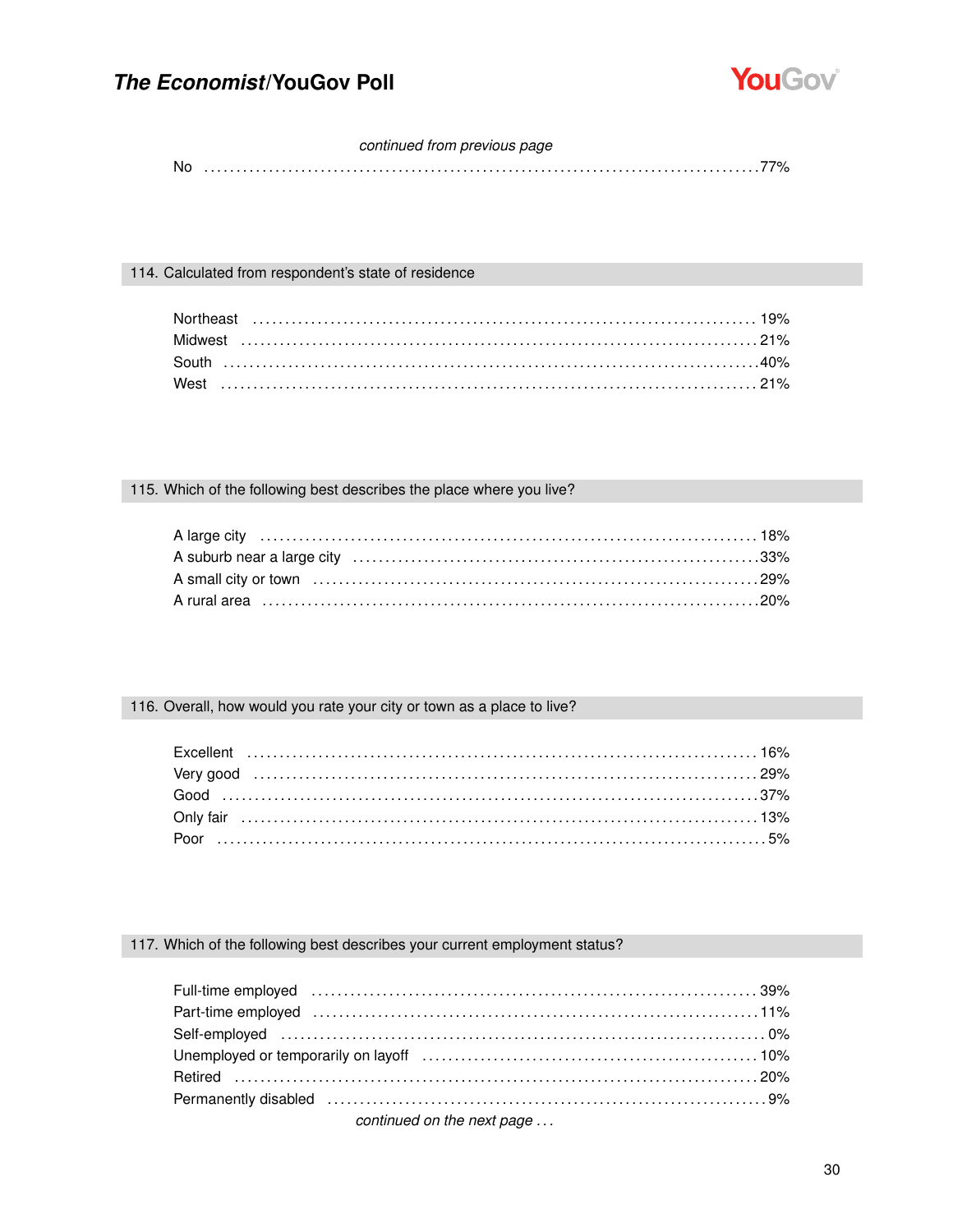

#### continued from previous page

#### 114. Calculated from respondent's state of residence

#### 115. Which of the following best describes the place where you live?

#### 116. Overall, how would you rate your city or town as a place to live?

#### 117. Which of the following best describes your current employment status?

| Part-time employed (and according control of the control of the control of the control of the control of the c                                                                                                                 |  |
|--------------------------------------------------------------------------------------------------------------------------------------------------------------------------------------------------------------------------------|--|
|                                                                                                                                                                                                                                |  |
|                                                                                                                                                                                                                                |  |
|                                                                                                                                                                                                                                |  |
| Permanently disabled (and accommunication of the state of the state of the state of the state of the state of the state of the state of the state of the state of the state of the state of the state of the state of the stat |  |
|                                                                                                                                                                                                                                |  |

continued on the next page ...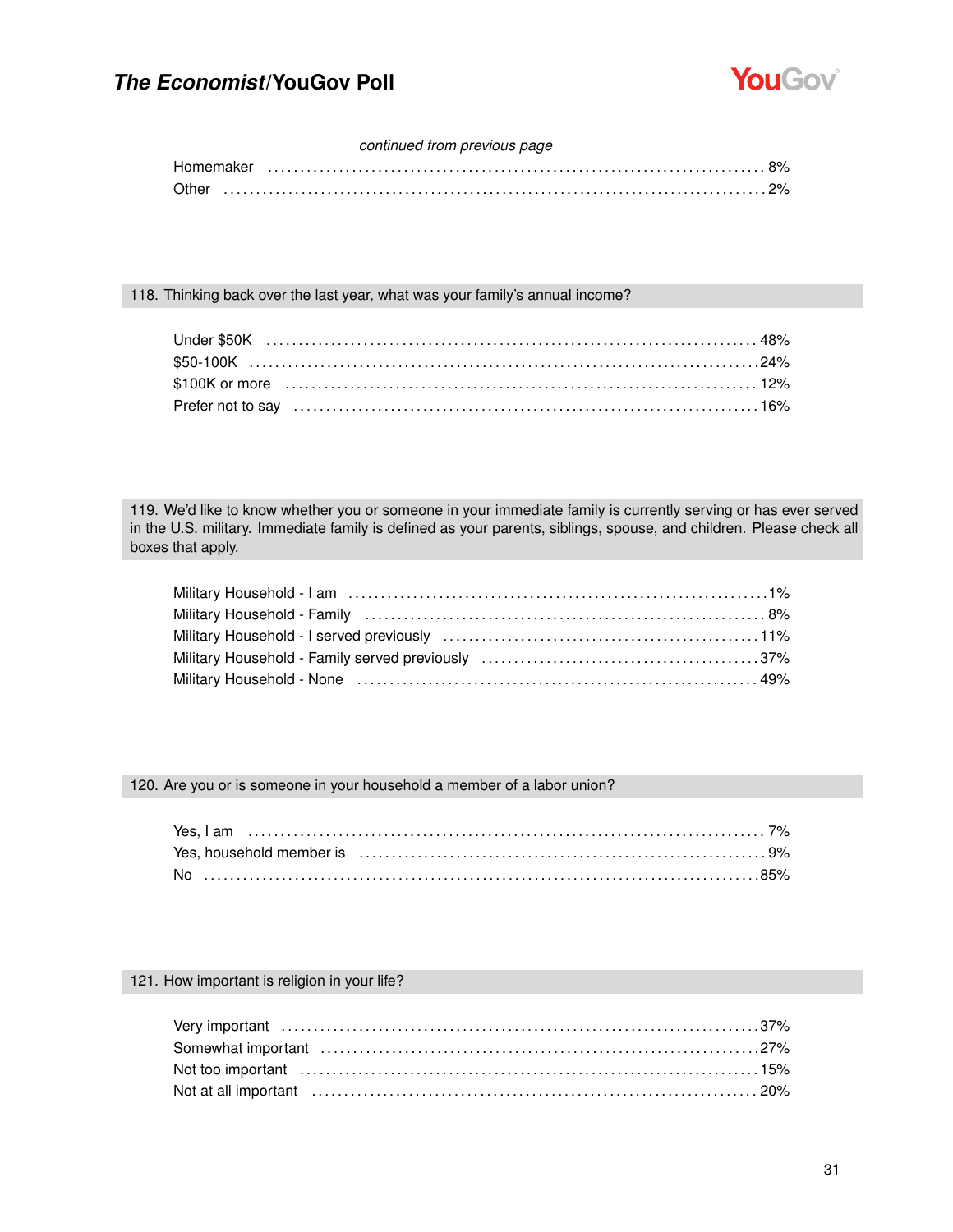

#### *continued from previous page*

#### 118. Thinking back over the last year, what was your family's annual income?

119. We'd like to know whether you or someone in your immediate family is currently serving or has ever served in the U.S. military. Immediate family is defined as your parents, siblings, spouse, and children. Please check all boxes that apply.

#### 120. Are you or is someone in your household a member of a labor union?

#### 121. How important is religion in your life?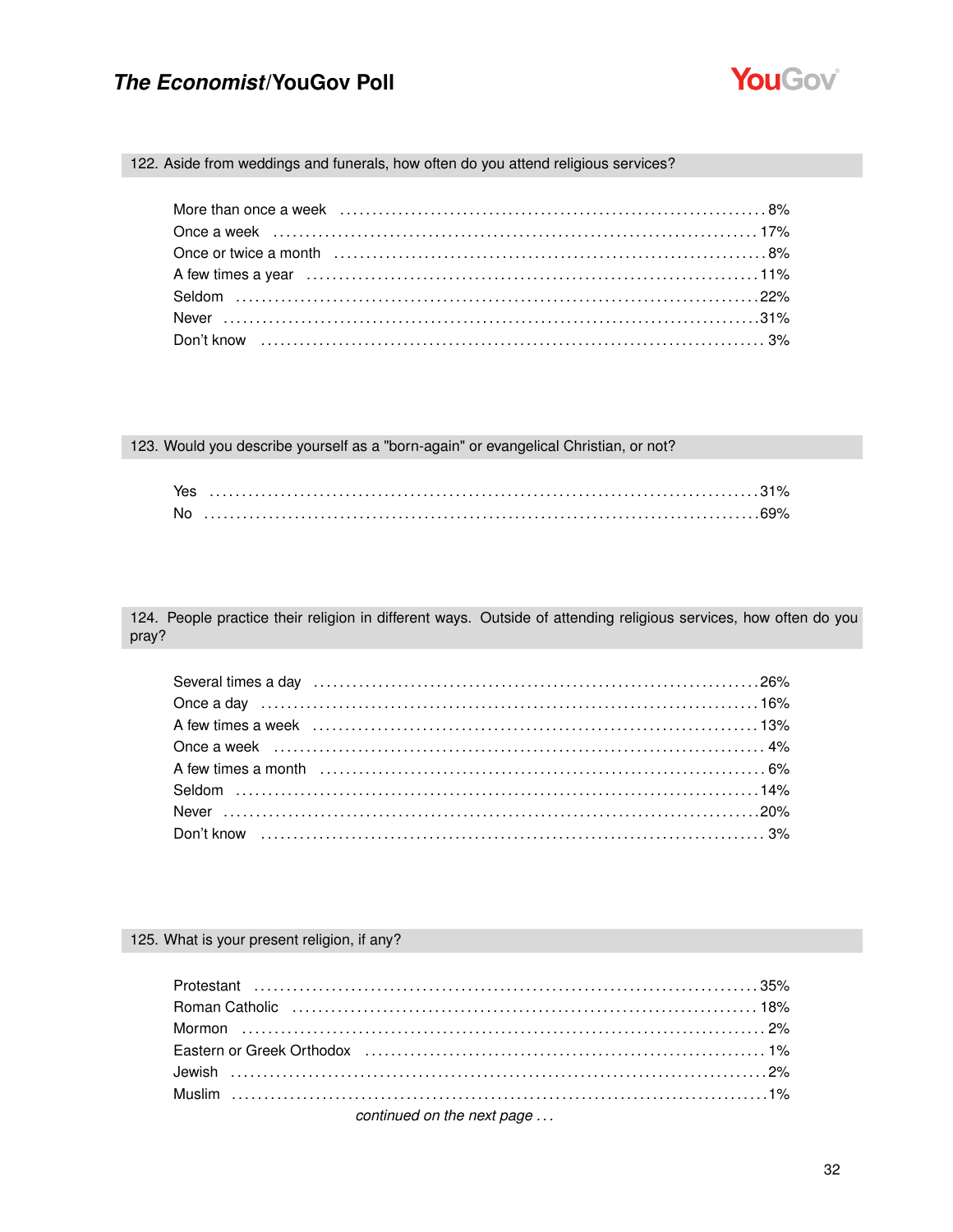

122. Aside from weddings and funerals, how often do you attend religious services?

123. Would you describe yourself as a "born-again" or evangelical Christian, or not?

| Yes |  |
|-----|--|
| No  |  |

124. People practice their religion in different ways. Outside of attending religious services, how often do you pray?

| A few times a month (and the continuum control of the filtra or $6\%$ |  |
|-----------------------------------------------------------------------|--|
|                                                                       |  |
|                                                                       |  |
|                                                                       |  |
|                                                                       |  |

#### 125. What is your present religion, if any?

| Eastern or Greek Orthodox (and accommunication or the discover and the discover and the discover and the disco |  |
|----------------------------------------------------------------------------------------------------------------|--|
|                                                                                                                |  |
|                                                                                                                |  |
|                                                                                                                |  |

continued on the next page ...